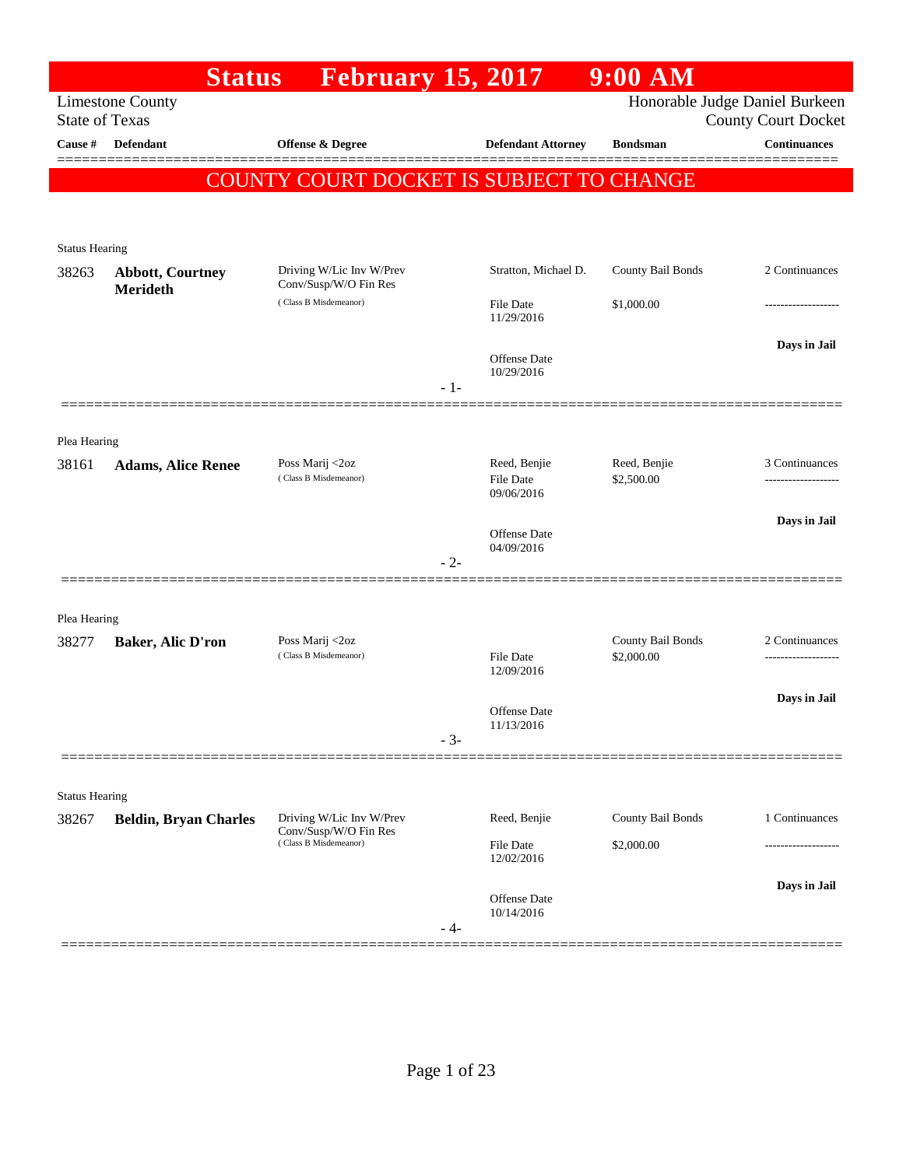|                                | <b>Status</b>                              | <b>February 15, 2017</b>                          |       |                                         | $9:00$ AM                  |                                                              |
|--------------------------------|--------------------------------------------|---------------------------------------------------|-------|-----------------------------------------|----------------------------|--------------------------------------------------------------|
| <b>State of Texas</b>          | <b>Limestone County</b>                    |                                                   |       |                                         |                            | Honorable Judge Daniel Burkeen<br><b>County Court Docket</b> |
| Cause #                        | <b>Defendant</b>                           | <b>Offense &amp; Degree</b>                       |       | <b>Defendant Attorney</b>               | <b>Bondsman</b>            | <b>Continuances</b>                                          |
|                                |                                            |                                                   |       |                                         |                            |                                                              |
|                                |                                            | COUNTY COURT DOCKET IS SUBJECT TO CHANGE          |       |                                         |                            |                                                              |
|                                |                                            |                                                   |       |                                         |                            |                                                              |
| <b>Status Hearing</b>          |                                            |                                                   |       |                                         |                            |                                                              |
| 38263                          | <b>Abbott, Courtney</b><br><b>Merideth</b> | Driving W/Lic Inv W/Prev<br>Conv/Susp/W/O Fin Res |       | Stratton, Michael D.                    | County Bail Bonds          | 2 Continuances                                               |
|                                |                                            | (Class B Misdemeanor)                             |       | File Date<br>11/29/2016                 | \$1,000.00                 |                                                              |
|                                |                                            |                                                   | $-1-$ | <b>Offense Date</b><br>10/29/2016       |                            | Days in Jail                                                 |
|                                |                                            |                                                   |       |                                         |                            |                                                              |
| Plea Hearing                   |                                            |                                                   |       |                                         |                            |                                                              |
| 38161                          | <b>Adams, Alice Renee</b>                  | Poss Marij <2oz<br>(Class B Misdemeanor)          |       | Reed, Benjie<br>File Date<br>09/06/2016 | Reed, Benjie<br>\$2,500.00 | 3 Continuances                                               |
|                                |                                            |                                                   |       |                                         |                            | Days in Jail                                                 |
|                                |                                            |                                                   |       | Offense Date<br>04/09/2016              |                            |                                                              |
|                                |                                            |                                                   | $-2-$ |                                         |                            |                                                              |
|                                |                                            |                                                   |       |                                         |                            |                                                              |
| Plea Hearing<br>38277          | <b>Baker, Alic D'ron</b>                   | Poss Marij <2oz                                   |       |                                         | County Bail Bonds          | 2 Continuances                                               |
|                                |                                            | (Class B Misdemeanor)                             |       | File Date<br>\$2,000.00<br>12/09/2016   |                            |                                                              |
|                                |                                            |                                                   |       |                                         |                            | Days in Jail                                                 |
|                                |                                            |                                                   |       | Offense Date<br>11/13/2016              |                            |                                                              |
|                                |                                            |                                                   | $-3-$ |                                         |                            |                                                              |
|                                |                                            |                                                   |       |                                         |                            |                                                              |
| <b>Status Hearing</b><br>38267 | <b>Beldin, Bryan Charles</b>               | Driving W/Lic Inv W/Prev                          |       | Reed, Benjie                            | County Bail Bonds          | 1 Continuances                                               |
|                                |                                            | Conv/Susp/W/O Fin Res<br>(Class B Misdemeanor)    |       | File Date                               | \$2,000.00                 |                                                              |
|                                |                                            |                                                   |       | 12/02/2016                              |                            |                                                              |
|                                |                                            |                                                   | - 4-  | Offense Date<br>10/14/2016              |                            | Days in Jail                                                 |
|                                |                                            |                                                   |       |                                         |                            |                                                              |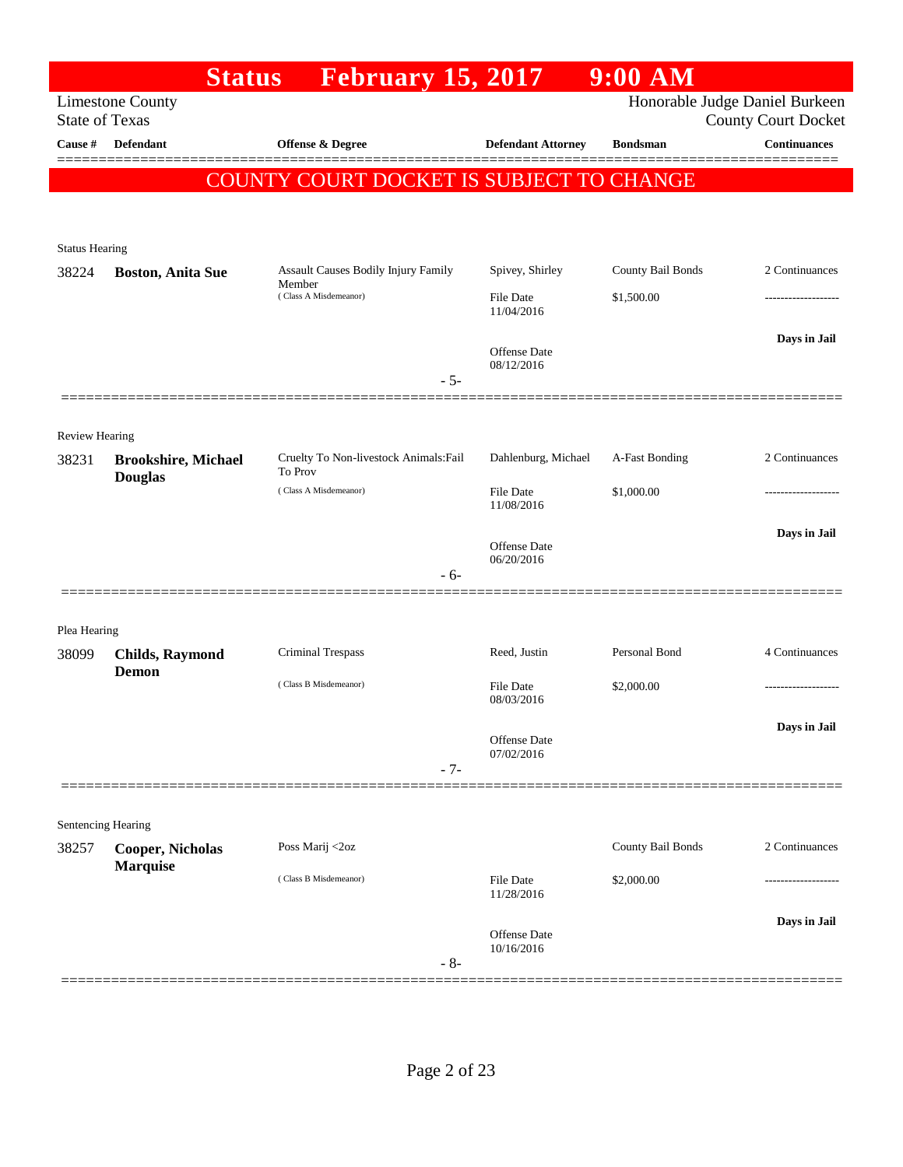|                                  | <b>Status</b>                                | February 15, 2017                                 |                                   | $9:00$ AM         |                                                   |
|----------------------------------|----------------------------------------------|---------------------------------------------------|-----------------------------------|-------------------|---------------------------------------------------|
|                                  | <b>Limestone County</b>                      |                                                   |                                   |                   | Honorable Judge Daniel Burkeen                    |
| <b>State of Texas</b><br>Cause # | <b>Defendant</b>                             | Offense & Degree                                  | <b>Defendant Attorney</b>         | <b>Bondsman</b>   | <b>County Court Docket</b><br><b>Continuances</b> |
|                                  |                                              |                                                   |                                   |                   |                                                   |
|                                  |                                              | COUNTY COURT DOCKET IS SUBJECT TO CHANGE          |                                   |                   |                                                   |
|                                  |                                              |                                                   |                                   |                   |                                                   |
| <b>Status Hearing</b>            |                                              |                                                   |                                   |                   |                                                   |
| 38224                            | <b>Boston, Anita Sue</b>                     | Assault Causes Bodily Injury Family               | Spivey, Shirley                   | County Bail Bonds | 2 Continuances                                    |
|                                  |                                              | Member<br>(Class A Misdemeanor)                   | File Date<br>11/04/2016           | \$1,500.00        |                                                   |
|                                  |                                              |                                                   | <b>Offense</b> Date<br>08/12/2016 |                   | Days in Jail                                      |
|                                  |                                              | $-5-$                                             |                                   |                   |                                                   |
|                                  |                                              |                                                   |                                   |                   |                                                   |
| Review Hearing                   |                                              |                                                   |                                   |                   |                                                   |
| 38231                            | <b>Brookshire, Michael</b><br><b>Douglas</b> | Cruelty To Non-livestock Animals: Fail<br>To Prov | Dahlenburg, Michael               | A-Fast Bonding    | 2 Continuances                                    |
|                                  |                                              | (Class A Misdemeanor)                             | File Date<br>11/08/2016           | \$1,000.00        |                                                   |
|                                  |                                              |                                                   | <b>Offense</b> Date<br>06/20/2016 |                   | Days in Jail                                      |
|                                  |                                              | $-6-$                                             |                                   |                   |                                                   |
|                                  |                                              |                                                   |                                   |                   |                                                   |
| Plea Hearing                     |                                              |                                                   |                                   |                   |                                                   |
| 38099                            | <b>Childs, Raymond</b><br>Demon              | Criminal Trespass                                 | Reed, Justin                      | Personal Bond     | 4 Continuances                                    |
|                                  |                                              | (Class B Misdemeanor)                             | File Date<br>08/03/2016           | \$2,000.00        |                                                   |
|                                  |                                              |                                                   | Offense Date<br>07/02/2016        |                   | Days in Jail                                      |
|                                  |                                              | $-7-$                                             |                                   |                   |                                                   |
|                                  |                                              |                                                   |                                   |                   |                                                   |
| Sentencing Hearing               |                                              |                                                   |                                   |                   |                                                   |
| 38257                            | <b>Cooper, Nicholas</b><br><b>Marquise</b>   | Poss Marij <2oz                                   |                                   | County Bail Bonds | 2 Continuances                                    |
|                                  |                                              | (Class B Misdemeanor)                             | <b>File Date</b><br>11/28/2016    | \$2,000.00        |                                                   |
|                                  |                                              |                                                   | Offense Date<br>10/16/2016        |                   | Days in Jail                                      |
|                                  |                                              | $-8-$                                             |                                   |                   |                                                   |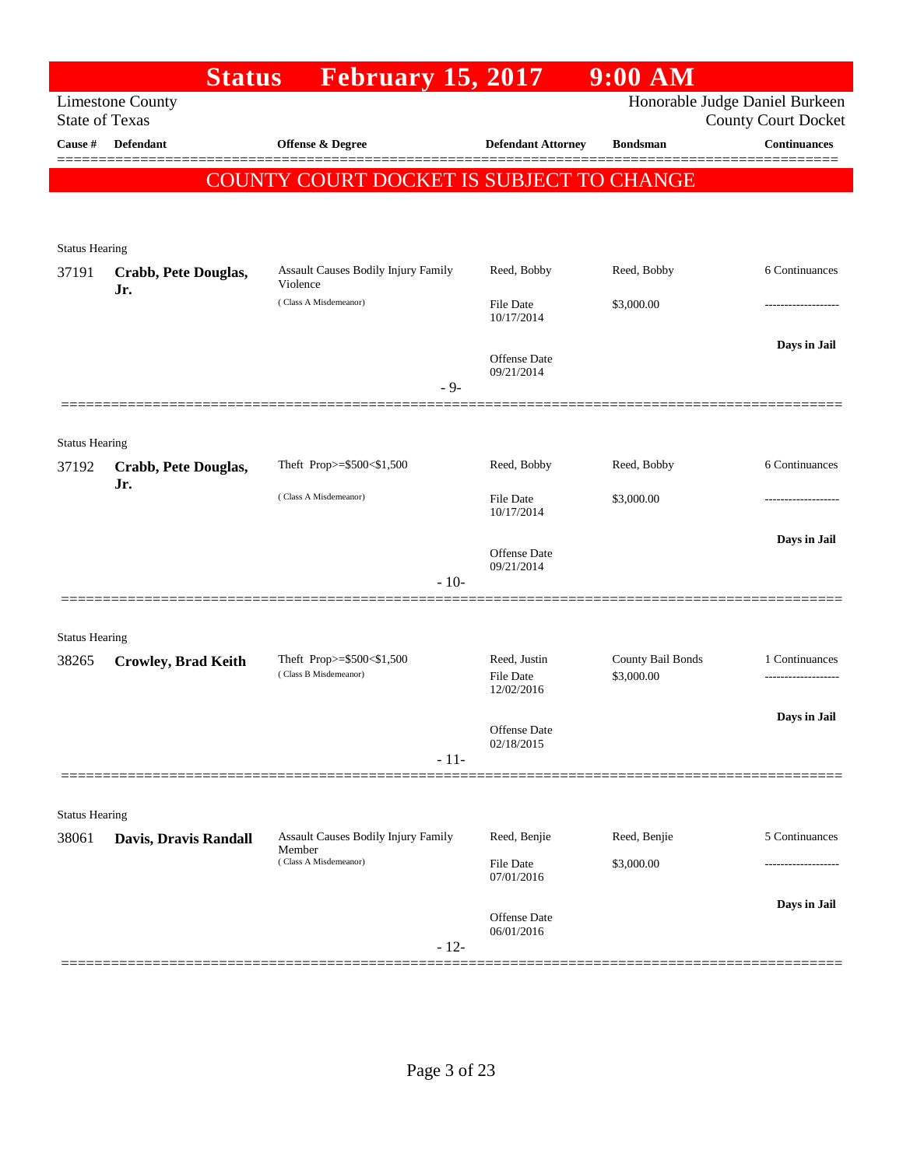|                       | <b>Status</b>                                    | <b>February 15, 2017</b>                           |                                         | $9:00$ AM                       |                                                              |
|-----------------------|--------------------------------------------------|----------------------------------------------------|-----------------------------------------|---------------------------------|--------------------------------------------------------------|
|                       | <b>Limestone County</b><br><b>State of Texas</b> |                                                    |                                         |                                 | Honorable Judge Daniel Burkeen<br><b>County Court Docket</b> |
| Cause #               | <b>Defendant</b>                                 | <b>Offense &amp; Degree</b>                        | <b>Defendant Attorney</b>               | <b>Bondsman</b>                 | <b>Continuances</b>                                          |
|                       |                                                  |                                                    |                                         |                                 |                                                              |
|                       |                                                  | COUNTY COURT DOCKET IS SUBJECT TO CHANGE           |                                         |                                 |                                                              |
| <b>Status Hearing</b> |                                                  |                                                    |                                         |                                 |                                                              |
| 37191                 | Crabb, Pete Douglas,<br>Jr.                      | Assault Causes Bodily Injury Family<br>Violence    | Reed, Bobby                             | Reed, Bobby                     | 6 Continuances                                               |
|                       |                                                  | (Class A Misdemeanor)                              | File Date<br>10/17/2014                 | \$3,000.00                      |                                                              |
|                       |                                                  |                                                    | Offense Date<br>09/21/2014              |                                 | Days in Jail                                                 |
|                       |                                                  | $-9-$                                              |                                         |                                 |                                                              |
| <b>Status Hearing</b> |                                                  |                                                    |                                         |                                 |                                                              |
| 37192                 | Crabb, Pete Douglas,<br>Jr.                      | Theft Prop>=\$500<\$1,500                          | Reed, Bobby                             | Reed, Bobby                     | 6 Continuances                                               |
|                       |                                                  | (Class A Misdemeanor)                              | <b>File Date</b><br>10/17/2014          | \$3,000.00                      |                                                              |
|                       |                                                  |                                                    | <b>Offense Date</b><br>09/21/2014       |                                 | Days in Jail                                                 |
|                       |                                                  | $-10-$                                             |                                         |                                 |                                                              |
| <b>Status Hearing</b> |                                                  |                                                    |                                         |                                 |                                                              |
| 38265                 | <b>Crowley, Brad Keith</b>                       | Theft Prop>=\$500<\$1,500<br>(Class B Misdemeanor) | Reed, Justin<br>File Date<br>12/02/2016 | County Bail Bonds<br>\$3,000.00 | 1 Continuances                                               |
|                       |                                                  |                                                    | Offense Date<br>02/18/2015              |                                 | Days in Jail                                                 |
|                       |                                                  | $-11-$                                             |                                         |                                 |                                                              |
| <b>Status Hearing</b> |                                                  |                                                    |                                         |                                 |                                                              |
| 38061                 | Davis, Dravis Randall                            | Assault Causes Bodily Injury Family<br>Member      | Reed, Benjie                            | Reed, Benjie                    | 5 Continuances                                               |
|                       |                                                  | (Class A Misdemeanor)                              | File Date<br>07/01/2016                 | \$3,000.00                      |                                                              |
|                       |                                                  | $-12-$                                             | <b>Offense Date</b><br>06/01/2016       |                                 | Days in Jail                                                 |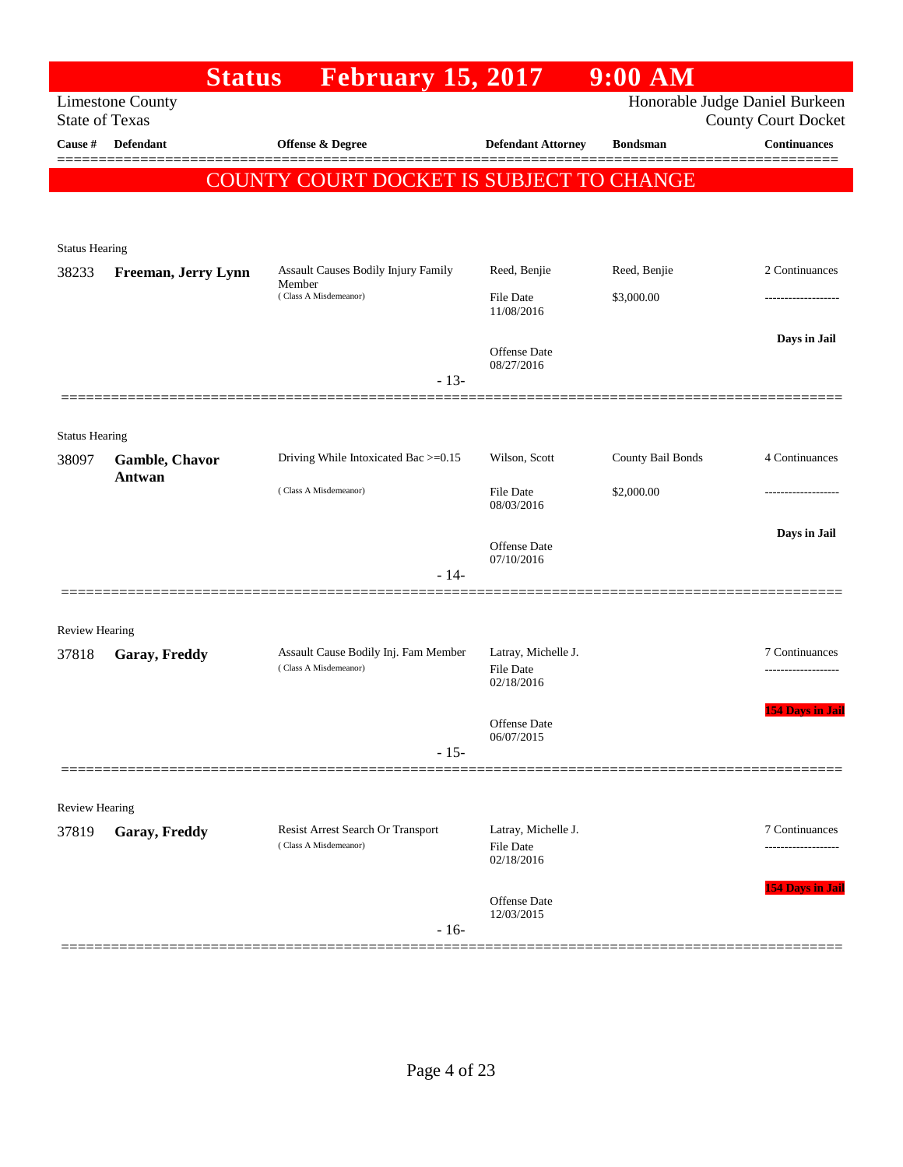| <b>Status</b>                                    | <b>February 15, 2017</b>                                      |                                                       | $9:00$ AM         |                                                              |
|--------------------------------------------------|---------------------------------------------------------------|-------------------------------------------------------|-------------------|--------------------------------------------------------------|
| <b>Limestone County</b><br><b>State of Texas</b> |                                                               |                                                       |                   | Honorable Judge Daniel Burkeen<br><b>County Court Docket</b> |
| <b>Defendant</b>                                 | Offense & Degree                                              | <b>Defendant Attorney</b>                             | <b>Bondsman</b>   | <b>Continuances</b>                                          |
|                                                  |                                                               |                                                       |                   |                                                              |
| <b>Status Hearing</b>                            |                                                               |                                                       |                   |                                                              |
| Freeman, Jerry Lynn                              | Assault Causes Bodily Injury Family<br>Member                 | Reed, Benjie                                          | Reed, Benjie      | 2 Continuances                                               |
|                                                  | (Class A Misdemeanor)                                         | File Date<br>11/08/2016                               | \$3,000.00        |                                                              |
|                                                  | $-13-$                                                        | Offense Date<br>08/27/2016                            |                   | Days in Jail                                                 |
|                                                  |                                                               |                                                       |                   |                                                              |
| <b>Status Hearing</b><br>Gamble, Chavor          | Driving While Intoxicated Bac >=0.15                          | Wilson, Scott                                         | County Bail Bonds | 4 Continuances                                               |
|                                                  | (Class A Misdemeanor)                                         | <b>File Date</b><br>08/03/2016                        | \$2,000.00        |                                                              |
|                                                  | $-14-$                                                        | Offense Date<br>07/10/2016                            |                   | Days in Jail                                                 |
|                                                  |                                                               |                                                       |                   |                                                              |
| Garay, Freddy                                    | Assault Cause Bodily Inj. Fam Member<br>(Class A Misdemeanor) | Latray, Michelle J.<br><b>File Date</b><br>02/18/2016 |                   | 7 Continuances                                               |
|                                                  | $-15-$                                                        | Offense Date<br>06/07/2015                            |                   | <b>154 Days in Jail</b>                                      |
|                                                  |                                                               |                                                       |                   |                                                              |
| Garay, Freddy                                    | Resist Arrest Search Or Transport<br>(Class A Misdemeanor)    | Latray, Michelle J.<br>File Date<br>02/18/2016        |                   | 7 Continuances<br>-----------------                          |
|                                                  | $-16-$                                                        | <b>Offense</b> Date<br>12/03/2015                     |                   | <b>154 Days in Jail</b>                                      |
|                                                  | Antwan<br>Review Hearing<br>Review Hearing                    |                                                       |                   | COUNTY COURT DOCKET IS SUBJECT TO CHANGE                     |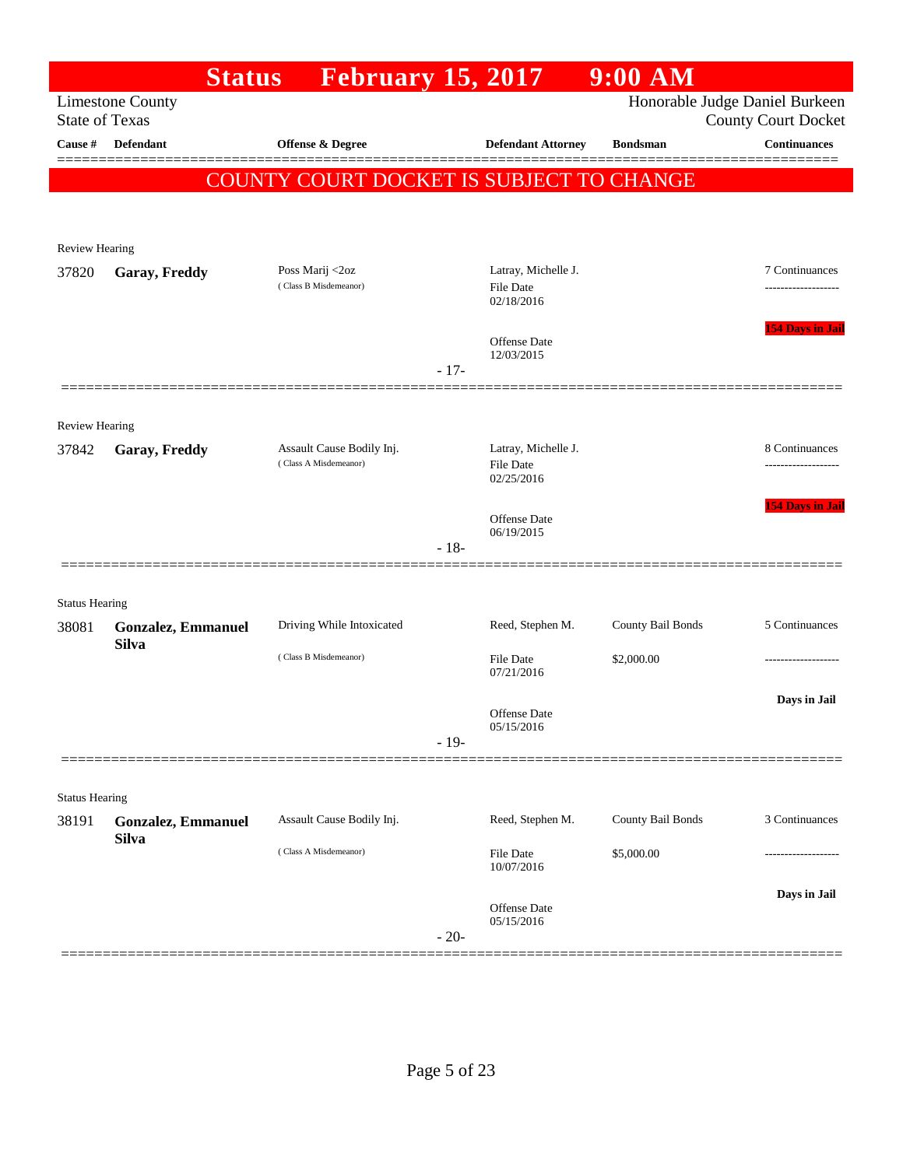|                       |                                           | <b>Status</b> | <b>February 15, 2017</b>                           |        |                                         | $9:00$ AM         |                                                              |
|-----------------------|-------------------------------------------|---------------|----------------------------------------------------|--------|-----------------------------------------|-------------------|--------------------------------------------------------------|
| <b>State of Texas</b> | <b>Limestone County</b>                   |               |                                                    |        |                                         |                   | Honorable Judge Daniel Burkeen<br><b>County Court Docket</b> |
| Cause #               | <b>Defendant</b>                          |               | <b>Offense &amp; Degree</b>                        |        | <b>Defendant Attorney</b>               | <b>Bondsman</b>   | <b>Continuances</b>                                          |
|                       |                                           |               | COUNTY COURT DOCKET IS SUBJECT TO CHANGE           |        |                                         |                   |                                                              |
|                       |                                           |               |                                                    |        |                                         |                   |                                                              |
| <b>Review Hearing</b> |                                           |               |                                                    |        |                                         |                   |                                                              |
| 37820                 | Garay, Freddy                             |               | Poss Marij <2oz                                    |        | Latray, Michelle J.                     |                   | 7 Continuances                                               |
|                       |                                           |               | (Class B Misdemeanor)                              |        | File Date<br>02/18/2016                 |                   |                                                              |
|                       |                                           |               |                                                    |        | Offense Date                            |                   | <b>154 Days in Jail</b>                                      |
|                       |                                           |               |                                                    | $-17-$ | 12/03/2015                              |                   |                                                              |
|                       |                                           |               |                                                    |        |                                         |                   |                                                              |
| <b>Review Hearing</b> |                                           |               |                                                    |        |                                         |                   |                                                              |
| 37842                 | Garay, Freddy                             |               | Assault Cause Bodily Inj.<br>(Class A Misdemeanor) |        | Latray, Michelle J.<br><b>File Date</b> |                   | 8 Continuances<br>.                                          |
|                       |                                           |               |                                                    |        | 02/25/2016                              |                   |                                                              |
|                       |                                           |               |                                                    |        | <b>Offense Date</b><br>06/19/2015       |                   | 154 Days in Jail                                             |
|                       |                                           |               |                                                    | $-18-$ |                                         |                   |                                                              |
|                       |                                           |               |                                                    |        |                                         |                   |                                                              |
| <b>Status Hearing</b> |                                           |               |                                                    |        |                                         |                   |                                                              |
| 38081                 | <b>Gonzalez, Emmanuel</b><br><b>Silva</b> |               | Driving While Intoxicated                          |        | Reed, Stephen M.                        | County Bail Bonds | 5 Continuances                                               |
|                       |                                           |               | (Class B Misdemeanor)                              |        | File Date<br>07/21/2016                 | \$2,000.00        |                                                              |
|                       |                                           |               |                                                    |        | Offense Date                            |                   | Days in Jail                                                 |
|                       |                                           |               |                                                    | $-19-$ | 05/15/2016                              |                   |                                                              |
|                       |                                           |               |                                                    |        |                                         |                   |                                                              |
| <b>Status Hearing</b> |                                           |               |                                                    |        |                                         |                   |                                                              |
| 38191                 | <b>Gonzalez, Emmanuel</b>                 |               | Assault Cause Bodily Inj.                          |        | Reed, Stephen M.                        | County Bail Bonds | 3 Continuances                                               |
|                       | <b>Silva</b>                              |               | (Class A Misdemeanor)                              |        | <b>File Date</b><br>10/07/2016          | \$5,000.00        |                                                              |
|                       |                                           |               |                                                    |        |                                         |                   | Days in Jail                                                 |
|                       |                                           |               |                                                    |        | Offense Date<br>05/15/2016              |                   |                                                              |
|                       |                                           |               |                                                    | $-20-$ |                                         |                   |                                                              |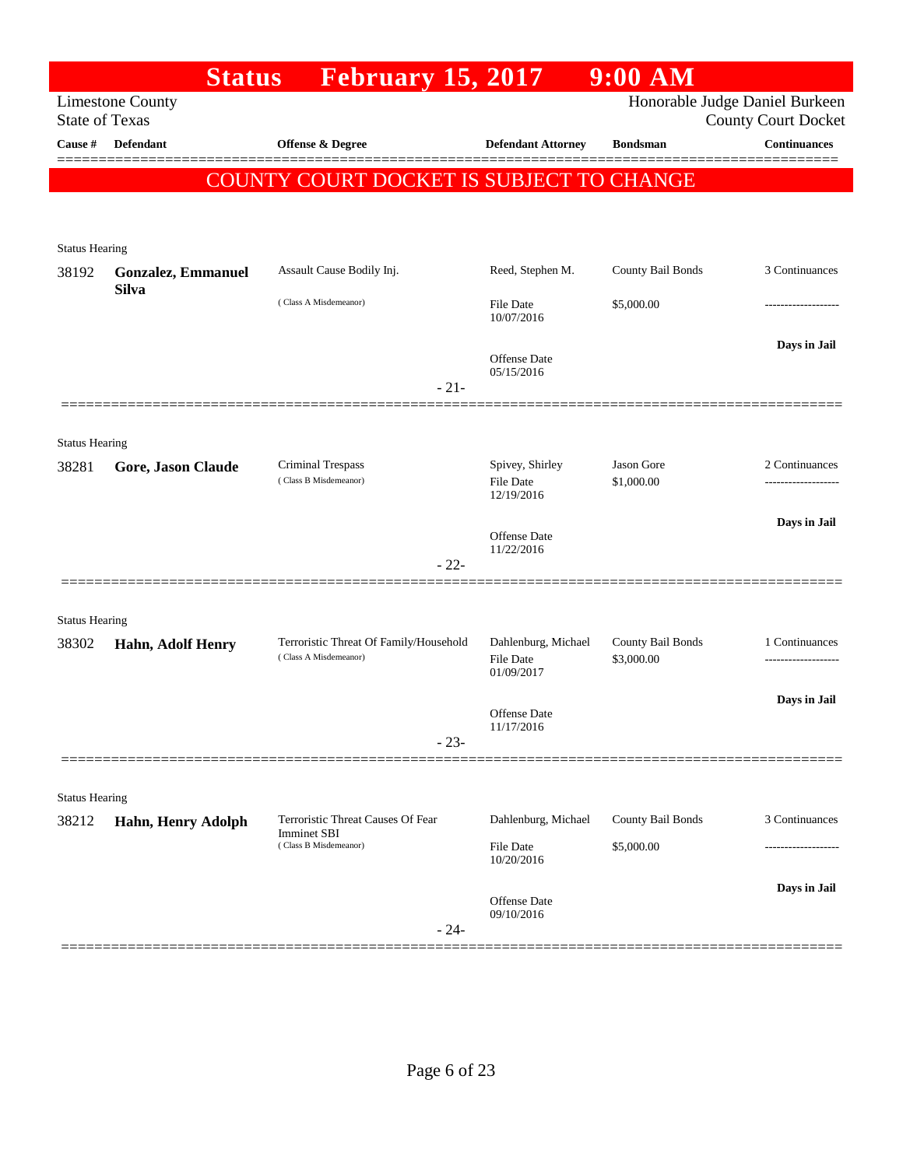|                                | <b>Status</b>             | <b>February 15, 2017</b>                                                         |                                                       | $9:00$ AM                       |                                                              |
|--------------------------------|---------------------------|----------------------------------------------------------------------------------|-------------------------------------------------------|---------------------------------|--------------------------------------------------------------|
| <b>State of Texas</b>          | <b>Limestone County</b>   |                                                                                  |                                                       |                                 | Honorable Judge Daniel Burkeen<br><b>County Court Docket</b> |
| Cause #                        | <b>Defendant</b>          | <b>Offense &amp; Degree</b>                                                      | <b>Defendant Attorney</b>                             | <b>Bondsman</b>                 | <b>Continuances</b>                                          |
|                                |                           | COUNTY COURT DOCKET IS SUBJECT TO CHANGE                                         |                                                       |                                 |                                                              |
|                                |                           |                                                                                  |                                                       |                                 |                                                              |
| <b>Status Hearing</b>          |                           |                                                                                  |                                                       |                                 |                                                              |
| 38192                          | <b>Gonzalez, Emmanuel</b> | Assault Cause Bodily Inj.                                                        | Reed, Stephen M.                                      | County Bail Bonds               | 3 Continuances                                               |
|                                | <b>Silva</b>              | (Class A Misdemeanor)                                                            | <b>File Date</b><br>10/07/2016                        | \$5,000.00                      | -----------------                                            |
|                                |                           |                                                                                  | <b>Offense Date</b><br>05/15/2016                     |                                 | Days in Jail                                                 |
|                                |                           | $-21-$                                                                           |                                                       |                                 |                                                              |
|                                |                           |                                                                                  |                                                       |                                 |                                                              |
| <b>Status Hearing</b><br>38281 | Gore, Jason Claude        | Criminal Trespass<br>(Class B Misdemeanor)                                       | Spivey, Shirley<br><b>File Date</b>                   | Jason Gore<br>\$1,000.00        | 2 Continuances                                               |
|                                |                           |                                                                                  | 12/19/2016                                            |                                 |                                                              |
|                                |                           |                                                                                  | <b>Offense Date</b><br>11/22/2016                     |                                 | Days in Jail                                                 |
|                                |                           | $-22-$                                                                           |                                                       |                                 |                                                              |
| <b>Status Hearing</b>          |                           |                                                                                  |                                                       |                                 |                                                              |
| 38302                          | Hahn, Adolf Henry         | Terroristic Threat Of Family/Household<br>(Class A Misdemeanor)                  | Dahlenburg, Michael<br><b>File Date</b><br>01/09/2017 | County Bail Bonds<br>\$3,000.00 | 1 Continuances<br>.                                          |
|                                |                           |                                                                                  |                                                       |                                 | Days in Jail                                                 |
|                                |                           | $-23-$                                                                           | Offense Date<br>11/17/2016                            |                                 |                                                              |
|                                |                           |                                                                                  |                                                       |                                 |                                                              |
| <b>Status Hearing</b>          |                           |                                                                                  |                                                       |                                 |                                                              |
| 38212                          | Hahn, Henry Adolph        | Terroristic Threat Causes Of Fear<br><b>Imminet SBI</b><br>(Class B Misdemeanor) | Dahlenburg, Michael                                   | County Bail Bonds               | 3 Continuances                                               |
|                                |                           |                                                                                  | File Date<br>10/20/2016                               | \$5,000.00                      |                                                              |
|                                |                           |                                                                                  |                                                       |                                 | Days in Jail                                                 |
|                                |                           | $-24-$                                                                           | Offense Date<br>09/10/2016                            |                                 |                                                              |
|                                |                           |                                                                                  |                                                       |                                 |                                                              |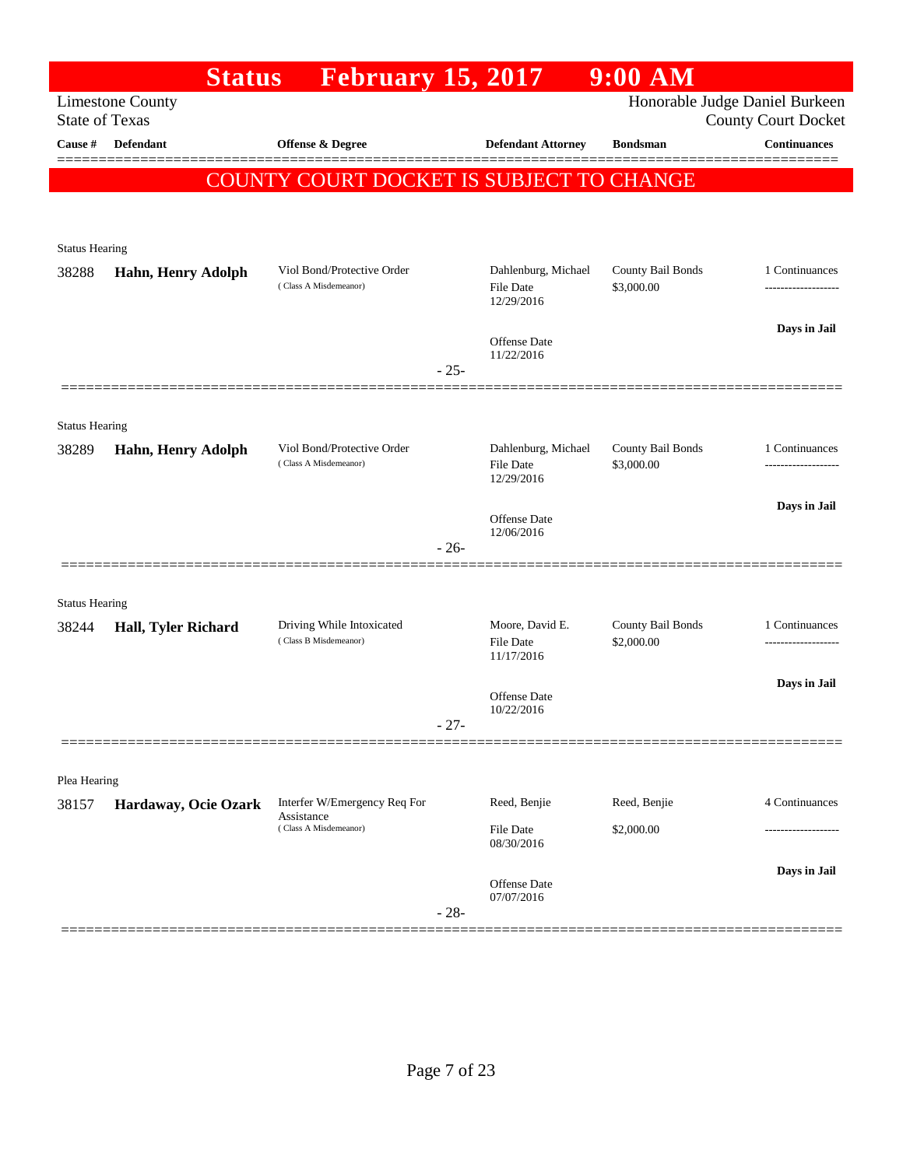|                       |                           | <b>Status</b>                       | <b>February 15, 2017</b>                            |           |                                         | 9:00 AM                         |                                                              |
|-----------------------|---------------------------|-------------------------------------|-----------------------------------------------------|-----------|-----------------------------------------|---------------------------------|--------------------------------------------------------------|
| <b>State of Texas</b> | <b>Limestone County</b>   |                                     |                                                     |           |                                         |                                 | Honorable Judge Daniel Burkeen<br><b>County Court Docket</b> |
| Cause #               | <b>Defendant</b>          |                                     | <b>Offense &amp; Degree</b>                         |           | <b>Defendant Attorney</b>               | <b>Bondsman</b>                 | <b>Continuances</b>                                          |
|                       |                           |                                     | COUNTY COURT DOCKET IS SUBJECT TO CHANGE            |           |                                         |                                 |                                                              |
|                       |                           |                                     |                                                     |           |                                         |                                 |                                                              |
| <b>Status Hearing</b> |                           |                                     |                                                     |           |                                         |                                 |                                                              |
| 38288                 | <b>Hahn, Henry Adolph</b> |                                     | Viol Bond/Protective Order                          |           | Dahlenburg, Michael                     | County Bail Bonds               | 1 Continuances                                               |
|                       |                           |                                     | (Class A Misdemeanor)                               |           | <b>File Date</b><br>12/29/2016          | \$3,000.00                      | ------------------                                           |
|                       |                           |                                     |                                                     |           | <b>Offense Date</b>                     |                                 | Days in Jail                                                 |
|                       |                           |                                     |                                                     | $-25-$    | 11/22/2016                              |                                 |                                                              |
|                       |                           |                                     |                                                     |           |                                         |                                 |                                                              |
| <b>Status Hearing</b> |                           |                                     |                                                     |           |                                         |                                 |                                                              |
| 38289                 | Hahn, Henry Adolph        |                                     | Viol Bond/Protective Order<br>(Class A Misdemeanor) |           | Dahlenburg, Michael<br><b>File Date</b> | County Bail Bonds<br>\$3,000.00 | 1 Continuances                                               |
|                       |                           |                                     |                                                     |           | 12/29/2016                              |                                 |                                                              |
|                       |                           |                                     |                                                     |           | Offense Date                            |                                 | Days in Jail                                                 |
|                       |                           |                                     |                                                     | $-26-$    | 12/06/2016                              |                                 |                                                              |
|                       |                           |                                     |                                                     |           |                                         |                                 |                                                              |
| <b>Status Hearing</b> |                           |                                     |                                                     |           |                                         |                                 |                                                              |
| 38244                 | Hall, Tyler Richard       |                                     | Driving While Intoxicated<br>(Class B Misdemeanor)  |           | Moore, David E.<br><b>File Date</b>     | County Bail Bonds<br>\$2,000.00 | 1 Continuances<br>----------------                           |
|                       |                           |                                     |                                                     |           | 11/17/2016                              |                                 |                                                              |
|                       |                           |                                     |                                                     |           | Offense Date<br>10/22/2016              |                                 | Days in Jail                                                 |
|                       |                           |                                     |                                                     | $-27-$    |                                         |                                 |                                                              |
|                       |                           |                                     |                                                     |           |                                         |                                 |                                                              |
| Plea Hearing<br>38157 |                           |                                     | Interfer W/Emergency Req For                        |           | Reed, Benjie                            | Reed, Benjie                    | 4 Continuances                                               |
|                       | Hardaway, Ocie Ozark      | Assistance<br>(Class A Misdemeanor) |                                                     | File Date | \$2,000.00                              |                                 |                                                              |
|                       |                           |                                     |                                                     |           | 08/30/2016                              |                                 |                                                              |
|                       |                           |                                     |                                                     |           | Offense Date                            |                                 | Days in Jail                                                 |
|                       |                           |                                     |                                                     | $-28-$    | 07/07/2016                              |                                 |                                                              |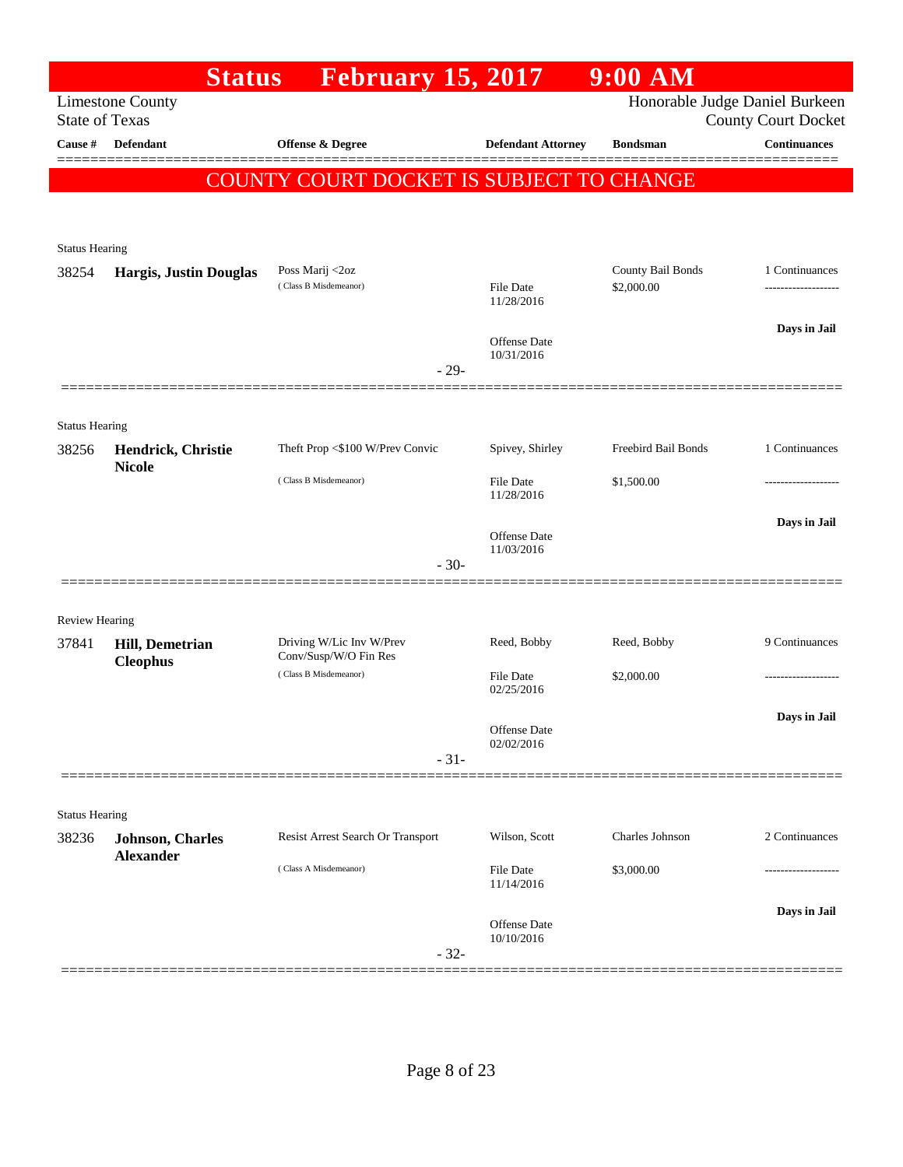|                                | <b>Status</b>                 | <b>February 15, 2017</b>                       |        |                                   | $9:00$ AM                       |                                                              |
|--------------------------------|-------------------------------|------------------------------------------------|--------|-----------------------------------|---------------------------------|--------------------------------------------------------------|
| <b>State of Texas</b>          | <b>Limestone County</b>       |                                                |        |                                   |                                 | Honorable Judge Daniel Burkeen<br><b>County Court Docket</b> |
| Cause #                        | <b>Defendant</b>              | <b>Offense &amp; Degree</b>                    |        | <b>Defendant Attorney</b>         | <b>Bondsman</b>                 | <b>Continuances</b>                                          |
|                                |                               |                                                |        |                                   |                                 |                                                              |
|                                |                               | COUNTY COURT DOCKET IS SUBJECT TO CHANGE       |        |                                   |                                 |                                                              |
|                                |                               |                                                |        |                                   |                                 |                                                              |
| <b>Status Hearing</b>          |                               |                                                |        |                                   |                                 |                                                              |
| 38254                          | <b>Hargis, Justin Douglas</b> | Poss Marij <2oz<br>(Class B Misdemeanor)       |        | <b>File Date</b>                  | County Bail Bonds<br>\$2,000.00 | 1 Continuances                                               |
|                                |                               |                                                |        | 11/28/2016                        |                                 |                                                              |
|                                |                               |                                                |        | <b>Offense Date</b>               |                                 | Days in Jail                                                 |
|                                |                               |                                                | $-29-$ | 10/31/2016                        |                                 |                                                              |
|                                |                               |                                                |        |                                   |                                 |                                                              |
| <b>Status Hearing</b>          |                               |                                                |        |                                   |                                 |                                                              |
| 38256                          | Hendrick, Christie            | Theft Prop <\$100 W/Prev Convic                |        | Spivey, Shirley                   | Freebird Bail Bonds             | 1 Continuances                                               |
|                                | <b>Nicole</b>                 | (Class B Misdemeanor)                          |        | <b>File Date</b><br>11/28/2016    | \$1,500.00                      |                                                              |
|                                |                               |                                                |        |                                   |                                 | Days in Jail                                                 |
|                                |                               |                                                |        | <b>Offense Date</b><br>11/03/2016 |                                 |                                                              |
|                                |                               |                                                | $-30-$ |                                   |                                 |                                                              |
|                                |                               |                                                |        |                                   |                                 |                                                              |
| <b>Review Hearing</b><br>37841 | <b>Hill, Demetrian</b>        | Driving W/Lic Inv W/Prev                       |        | Reed, Bobby                       | Reed, Bobby                     | 9 Continuances                                               |
|                                | <b>Cleophus</b>               | Conv/Susp/W/O Fin Res<br>(Class B Misdemeanor) |        |                                   |                                 |                                                              |
|                                |                               |                                                |        | <b>File Date</b><br>02/25/2016    | \$2,000.00                      |                                                              |
|                                |                               |                                                |        | Offense Date                      |                                 | Days in Jail                                                 |
|                                |                               |                                                | $-31-$ | 02/02/2016                        |                                 |                                                              |
|                                |                               |                                                |        |                                   |                                 |                                                              |
| <b>Status Hearing</b>          |                               |                                                |        |                                   |                                 |                                                              |
| 38236                          | <b>Johnson</b> , Charles      | Resist Arrest Search Or Transport              |        | Wilson, Scott                     | Charles Johnson                 | 2 Continuances                                               |
|                                | <b>Alexander</b>              | (Class A Misdemeanor)                          |        | <b>File Date</b>                  | \$3,000.00                      |                                                              |
|                                |                               |                                                |        | 11/14/2016                        |                                 |                                                              |
|                                |                               |                                                |        | <b>Offense</b> Date               |                                 | Days in Jail                                                 |
|                                |                               |                                                | $-32-$ | 10/10/2016                        |                                 |                                                              |
|                                |                               |                                                |        |                                   |                                 |                                                              |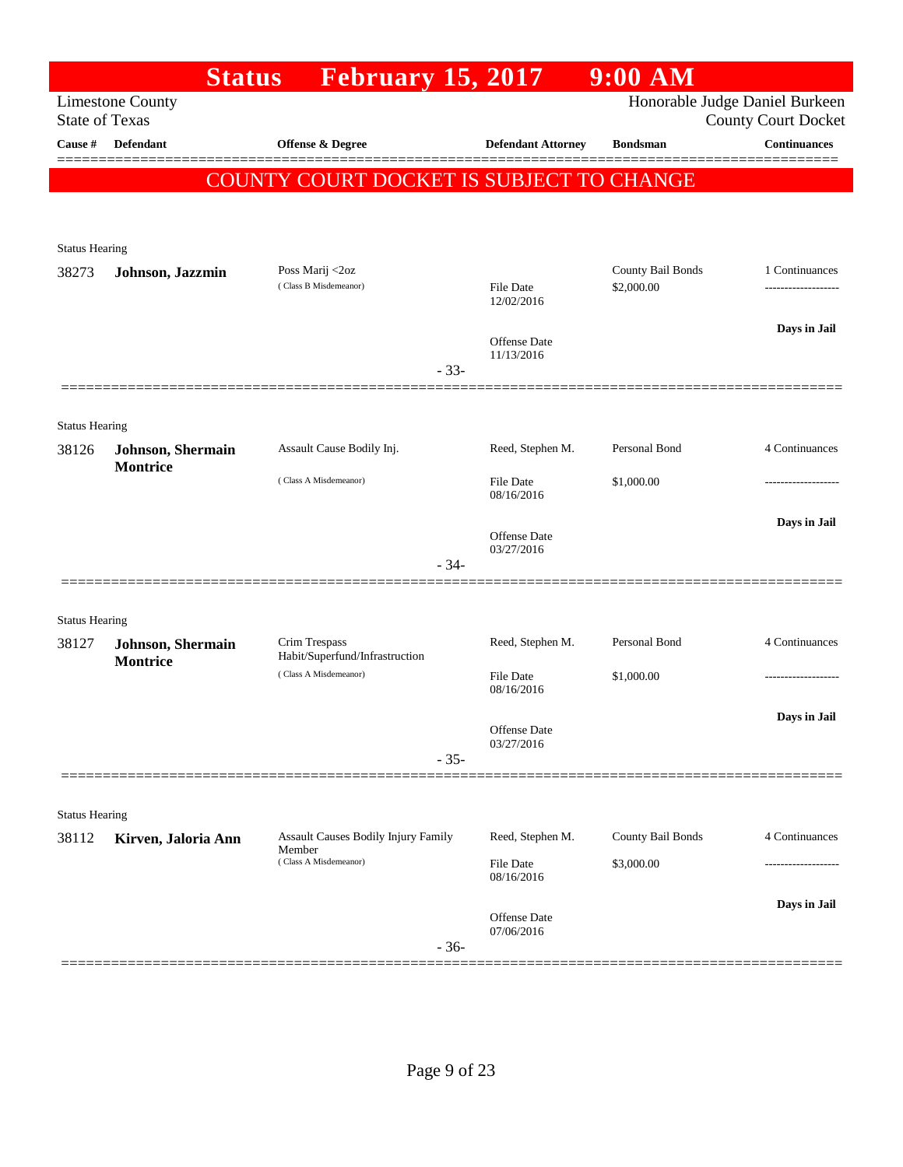|                                | <b>Status</b>                                | <b>February 15, 2017</b>                 |        |                                   | 9:00 AM           |                                                              |
|--------------------------------|----------------------------------------------|------------------------------------------|--------|-----------------------------------|-------------------|--------------------------------------------------------------|
| <b>State of Texas</b>          | <b>Limestone County</b>                      |                                          |        |                                   |                   | Honorable Judge Daniel Burkeen<br><b>County Court Docket</b> |
| Cause #                        | <b>Defendant</b>                             | Offense & Degree                         |        | <b>Defendant Attorney</b>         | <b>Bondsman</b>   | <b>Continuances</b>                                          |
|                                |                                              | COUNTY COURT DOCKET IS SUBJECT TO CHANGE |        |                                   |                   |                                                              |
|                                |                                              |                                          |        |                                   |                   |                                                              |
|                                |                                              |                                          |        |                                   |                   |                                                              |
| <b>Status Hearing</b><br>38273 | Johnson, Jazzmin                             | Poss Marij <2oz                          |        |                                   | County Bail Bonds | 1 Continuances                                               |
|                                |                                              | (Class B Misdemeanor)                    |        | <b>File Date</b><br>12/02/2016    | \$2,000.00        |                                                              |
|                                |                                              |                                          |        | <b>Offense Date</b>               |                   | Days in Jail                                                 |
|                                |                                              |                                          | $-33-$ | 11/13/2016                        |                   |                                                              |
|                                |                                              |                                          |        |                                   |                   |                                                              |
| <b>Status Hearing</b>          |                                              |                                          |        |                                   |                   |                                                              |
| 38126                          | <b>Johnson</b> , Shermain<br><b>Montrice</b> | Assault Cause Bodily Inj.                |        | Reed, Stephen M.                  | Personal Bond     | 4 Continuances                                               |
|                                |                                              | (Class A Misdemeanor)                    |        | <b>File Date</b><br>08/16/2016    | \$1,000.00        |                                                              |
|                                |                                              |                                          |        | <b>Offense Date</b><br>03/27/2016 |                   | Days in Jail                                                 |
|                                |                                              |                                          | $-34-$ |                                   |                   |                                                              |
|                                |                                              |                                          |        |                                   |                   |                                                              |
| <b>Status Hearing</b>          |                                              | Crim Trespass                            |        | Reed, Stephen M.                  | Personal Bond     | 4 Continuances                                               |
| 38127                          | Johnson, Shermain<br><b>Montrice</b>         | Habit/Superfund/Infrastruction           |        |                                   |                   |                                                              |
|                                |                                              | (Class A Misdemeanor)                    |        | <b>File Date</b><br>08/16/2016    | \$1,000.00        |                                                              |
|                                |                                              |                                          |        |                                   |                   | Days in Jail                                                 |
|                                |                                              |                                          |        | Offense Date<br>03/27/2016        |                   |                                                              |
|                                |                                              |                                          | $-35-$ |                                   |                   |                                                              |
| <b>Status Hearing</b>          |                                              |                                          |        |                                   |                   |                                                              |
| 38112                          | Kirven, Jaloria Ann                          | Assault Causes Bodily Injury Family      |        | Reed, Stephen M.                  | County Bail Bonds | 4 Continuances                                               |
|                                |                                              | Member<br>(Class A Misdemeanor)          |        | <b>File Date</b><br>08/16/2016    | \$3,000.00        |                                                              |
|                                |                                              |                                          |        |                                   |                   | Days in Jail                                                 |
|                                |                                              |                                          | $-36-$ | Offense Date<br>07/06/2016        |                   |                                                              |
|                                |                                              |                                          |        |                                   |                   |                                                              |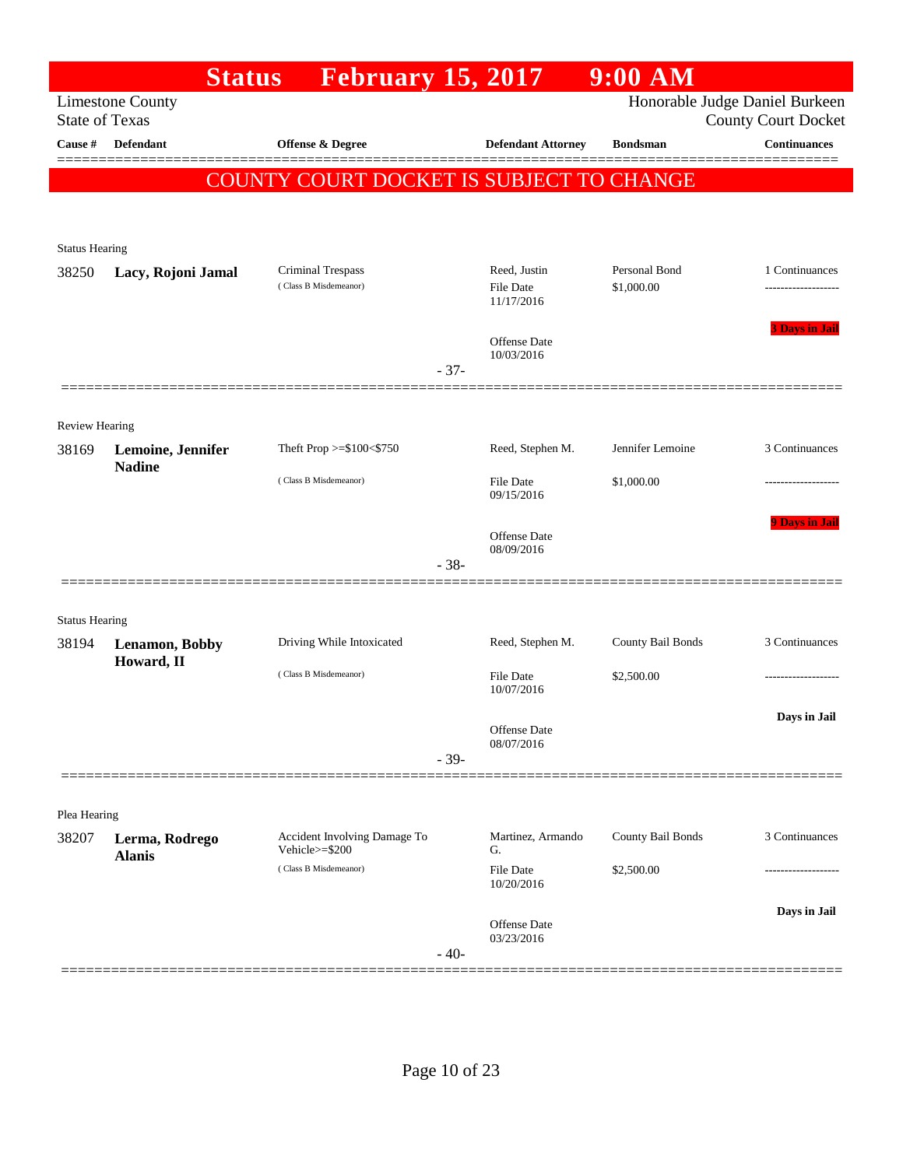|                                |                                 | <b>Status</b><br><b>February 15, 2017</b>      |        |                                   | $9:00$ AM         |                                                              |
|--------------------------------|---------------------------------|------------------------------------------------|--------|-----------------------------------|-------------------|--------------------------------------------------------------|
| <b>State of Texas</b>          | <b>Limestone County</b>         |                                                |        |                                   |                   | Honorable Judge Daniel Burkeen<br><b>County Court Docket</b> |
| Cause #                        | <b>Defendant</b>                | <b>Offense &amp; Degree</b>                    |        | <b>Defendant Attorney</b>         | <b>Bondsman</b>   | <b>Continuances</b>                                          |
|                                |                                 | COUNTY COURT DOCKET IS SUBJECT TO CHANGE       |        |                                   |                   |                                                              |
|                                |                                 |                                                |        |                                   |                   |                                                              |
|                                |                                 |                                                |        |                                   |                   |                                                              |
| <b>Status Hearing</b><br>38250 | Lacy, Rojoni Jamal              | Criminal Trespass                              |        | Reed, Justin                      | Personal Bond     | 1 Continuances                                               |
|                                |                                 | (Class B Misdemeanor)                          |        | File Date<br>11/17/2016           | \$1,000.00        | -------------------                                          |
|                                |                                 |                                                |        | <b>Offense</b> Date               |                   | <b>3 Days in Jail</b>                                        |
|                                |                                 |                                                | $-37-$ | 10/03/2016                        |                   |                                                              |
|                                |                                 |                                                |        |                                   |                   |                                                              |
| <b>Review Hearing</b>          |                                 |                                                |        |                                   |                   |                                                              |
| 38169                          | Lemoine, Jennifer               | Theft Prop >=\$100<\$750                       |        | Reed, Stephen M.                  | Jennifer Lemoine  | 3 Continuances                                               |
|                                | <b>Nadine</b>                   | (Class B Misdemeanor)                          |        | <b>File Date</b><br>09/15/2016    | \$1,000.00        |                                                              |
|                                |                                 |                                                | $-38-$ | <b>Offense</b> Date<br>08/09/2016 |                   | <b>9 Days in Jail</b>                                        |
|                                |                                 |                                                |        |                                   |                   |                                                              |
| <b>Status Hearing</b>          |                                 |                                                |        |                                   |                   |                                                              |
| 38194                          | Lenamon, Bobby<br>Howard, II    | Driving While Intoxicated                      |        | Reed, Stephen M.                  | County Bail Bonds | 3 Continuances                                               |
|                                |                                 | (Class B Misdemeanor)                          |        | <b>File Date</b><br>10/07/2016    | \$2,500.00        |                                                              |
|                                |                                 |                                                |        | Offense Date<br>08/07/2016        |                   | Days in Jail                                                 |
|                                |                                 |                                                | $-39-$ |                                   |                   |                                                              |
| Plea Hearing                   |                                 |                                                |        |                                   |                   |                                                              |
| 38207                          | Lerma, Rodrego<br><b>Alanis</b> | Accident Involving Damage To<br>Vehicle>=\$200 |        | Martinez, Armando<br>G.           | County Bail Bonds | 3 Continuances                                               |
|                                |                                 | (Class B Misdemeanor)                          |        | <b>File Date</b><br>10/20/2016    | \$2,500.00        |                                                              |
|                                |                                 |                                                |        | <b>Offense Date</b><br>03/23/2016 |                   | Days in Jail                                                 |
|                                |                                 |                                                | $-40-$ |                                   |                   |                                                              |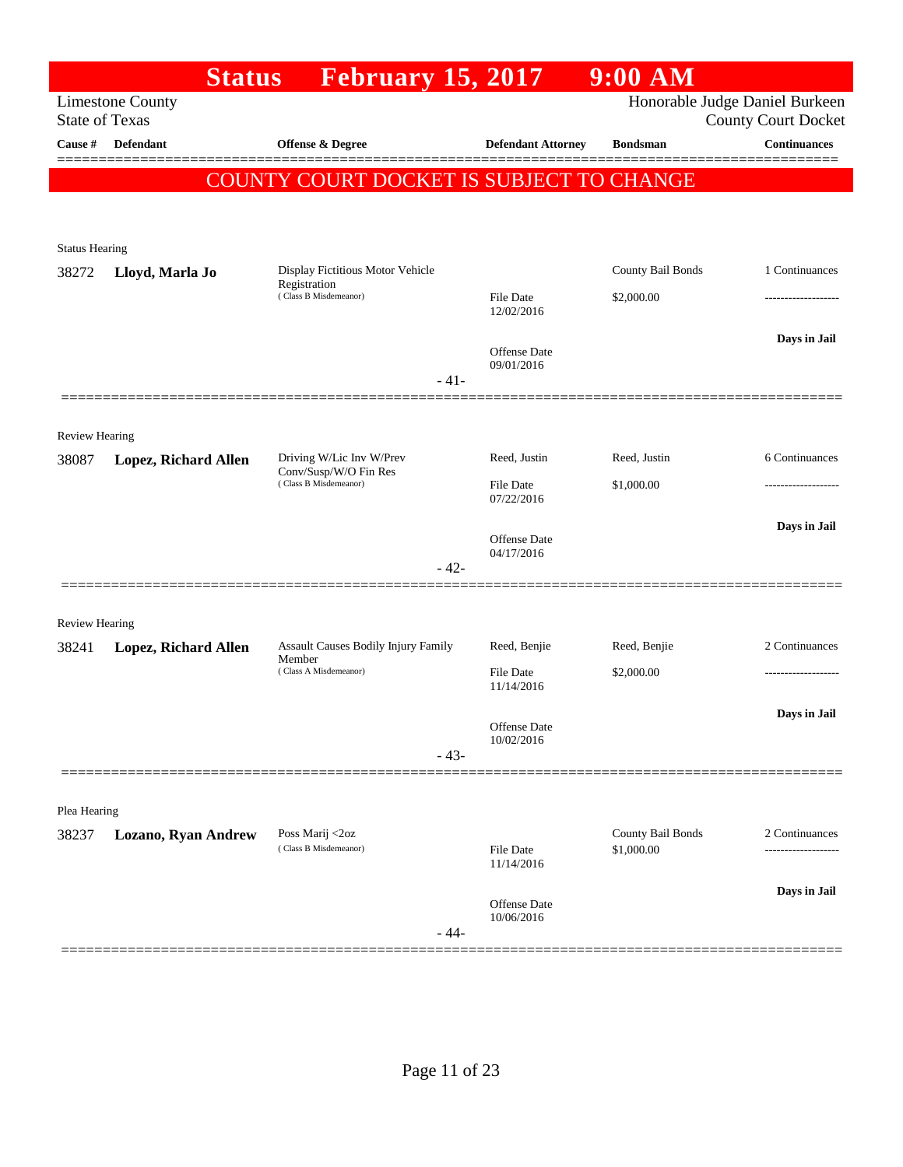|                                | <b>Status</b>               | <b>February 15, 2017</b>                          |                                   | <b>9:00 AM</b>                  |                                                              |
|--------------------------------|-----------------------------|---------------------------------------------------|-----------------------------------|---------------------------------|--------------------------------------------------------------|
| <b>State of Texas</b>          | <b>Limestone County</b>     |                                                   |                                   |                                 | Honorable Judge Daniel Burkeen<br><b>County Court Docket</b> |
| Cause #                        | Defendant                   | <b>Offense &amp; Degree</b>                       | <b>Defendant Attorney</b>         | <b>Bondsman</b>                 | <b>Continuances</b>                                          |
|                                |                             | COUNTY COURT DOCKET IS SUBJECT TO CHANGE          |                                   |                                 |                                                              |
|                                |                             |                                                   |                                   |                                 |                                                              |
| <b>Status Hearing</b>          |                             |                                                   |                                   |                                 |                                                              |
| 38272                          | Lloyd, Marla Jo             | Display Fictitious Motor Vehicle<br>Registration  |                                   | County Bail Bonds               | 1 Continuances                                               |
|                                |                             | (Class B Misdemeanor)                             | File Date<br>12/02/2016           | \$2,000.00                      |                                                              |
|                                |                             |                                                   | <b>Offense</b> Date               |                                 | Days in Jail                                                 |
|                                |                             | $-41-$                                            | 09/01/2016                        |                                 |                                                              |
|                                |                             |                                                   |                                   |                                 |                                                              |
| <b>Review Hearing</b>          |                             |                                                   |                                   |                                 |                                                              |
| 38087                          | <b>Lopez, Richard Allen</b> | Driving W/Lic Inv W/Prev<br>Conv/Susp/W/O Fin Res | Reed, Justin                      | Reed, Justin                    | 6 Continuances                                               |
|                                |                             | (Class B Misdemeanor)                             | File Date<br>07/22/2016           | \$1,000.00                      | .                                                            |
|                                |                             |                                                   |                                   |                                 | Days in Jail                                                 |
|                                |                             |                                                   | <b>Offense</b> Date<br>04/17/2016 |                                 |                                                              |
|                                |                             | $-42-$                                            |                                   |                                 |                                                              |
|                                |                             |                                                   |                                   |                                 |                                                              |
| <b>Review Hearing</b><br>38241 | Lopez, Richard Allen        | <b>Assault Causes Bodily Injury Family</b>        | Reed, Benjie                      | Reed, Benjie                    | 2 Continuances                                               |
|                                |                             | Member<br>(Class A Misdemeanor)                   | File Date                         | \$2,000.00                      | .                                                            |
|                                |                             |                                                   | 11/14/2016                        |                                 | Days in Jail                                                 |
|                                |                             |                                                   | Offense Date<br>10/02/2016        |                                 |                                                              |
|                                |                             | $-43-$                                            |                                   |                                 |                                                              |
|                                |                             |                                                   |                                   |                                 |                                                              |
| Plea Hearing                   |                             |                                                   |                                   |                                 |                                                              |
| 38237                          | <b>Lozano, Ryan Andrew</b>  | Poss Marij <2oz<br>(Class B Misdemeanor)          | File Date<br>11/14/2016           | County Bail Bonds<br>\$1,000.00 | 2 Continuances                                               |
|                                |                             |                                                   |                                   |                                 | Days in Jail                                                 |
|                                |                             | - 44-                                             | Offense Date<br>10/06/2016        |                                 |                                                              |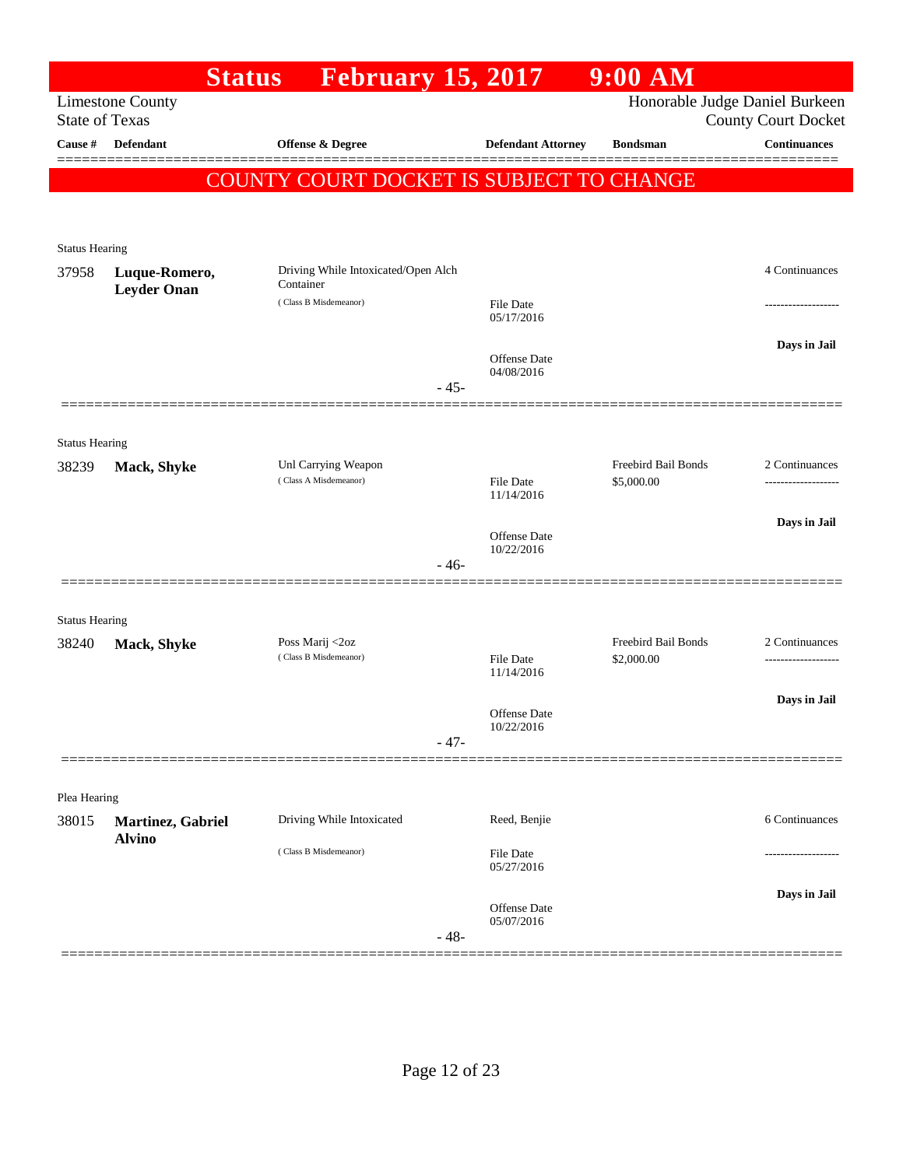|                       |                                     | <b>Status</b>         | <b>February 15, 2017</b>                         |        |                                   | $9:00$ AM                         |                                                              |
|-----------------------|-------------------------------------|-----------------------|--------------------------------------------------|--------|-----------------------------------|-----------------------------------|--------------------------------------------------------------|
| <b>State of Texas</b> | <b>Limestone County</b>             |                       |                                                  |        |                                   |                                   | Honorable Judge Daniel Burkeen<br><b>County Court Docket</b> |
| Cause #               | Defendant                           |                       | Offense & Degree                                 |        | <b>Defendant Attorney</b>         | <b>Bondsman</b>                   | <b>Continuances</b>                                          |
|                       |                                     |                       | COUNTY COURT DOCKET IS SUBJECT TO CHANGE         |        |                                   |                                   |                                                              |
|                       |                                     |                       |                                                  |        |                                   |                                   |                                                              |
| <b>Status Hearing</b> |                                     |                       |                                                  |        |                                   |                                   |                                                              |
| 37958                 | Luque-Romero,<br><b>Leyder Onan</b> |                       | Driving While Intoxicated/Open Alch<br>Container |        |                                   |                                   | 4 Continuances                                               |
|                       |                                     |                       | (Class B Misdemeanor)                            |        | <b>File Date</b><br>05/17/2016    |                                   |                                                              |
|                       |                                     |                       |                                                  | $-45-$ | <b>Offense</b> Date<br>04/08/2016 |                                   | Days in Jail                                                 |
|                       |                                     |                       |                                                  |        |                                   |                                   |                                                              |
| <b>Status Hearing</b> |                                     |                       |                                                  |        |                                   |                                   |                                                              |
| 38239                 | Mack, Shyke                         |                       | Unl Carrying Weapon<br>(Class A Misdemeanor)     |        | <b>File Date</b><br>11/14/2016    | Freebird Bail Bonds<br>\$5,000.00 | 2 Continuances                                               |
|                       |                                     |                       |                                                  |        | <b>Offense</b> Date<br>10/22/2016 |                                   | Days in Jail                                                 |
|                       |                                     |                       |                                                  | - 46-  |                                   |                                   |                                                              |
| <b>Status Hearing</b> |                                     |                       |                                                  |        |                                   |                                   |                                                              |
| 38240                 | Mack, Shyke                         |                       | Poss Marij <2oz<br>(Class B Misdemeanor)         |        | <b>File Date</b><br>11/14/2016    | Freebird Bail Bonds<br>\$2,000.00 | 2 Continuances                                               |
|                       |                                     |                       |                                                  |        |                                   |                                   | Days in Jail                                                 |
|                       |                                     |                       |                                                  | $-47-$ | Offense Date<br>10/22/2016        |                                   |                                                              |
|                       |                                     |                       |                                                  |        |                                   |                                   |                                                              |
| Plea Hearing<br>38015 |                                     |                       | Driving While Intoxicated                        |        | Reed, Benjie                      |                                   | 6 Continuances                                               |
|                       | Martinez, Gabriel<br><b>Alvino</b>  | (Class B Misdemeanor) |                                                  |        | <b>File Date</b><br>05/27/2016    |                                   |                                                              |
|                       |                                     |                       |                                                  |        |                                   |                                   | Days in Jail                                                 |
|                       |                                     |                       |                                                  | $-48-$ | <b>Offense</b> Date<br>05/07/2016 |                                   |                                                              |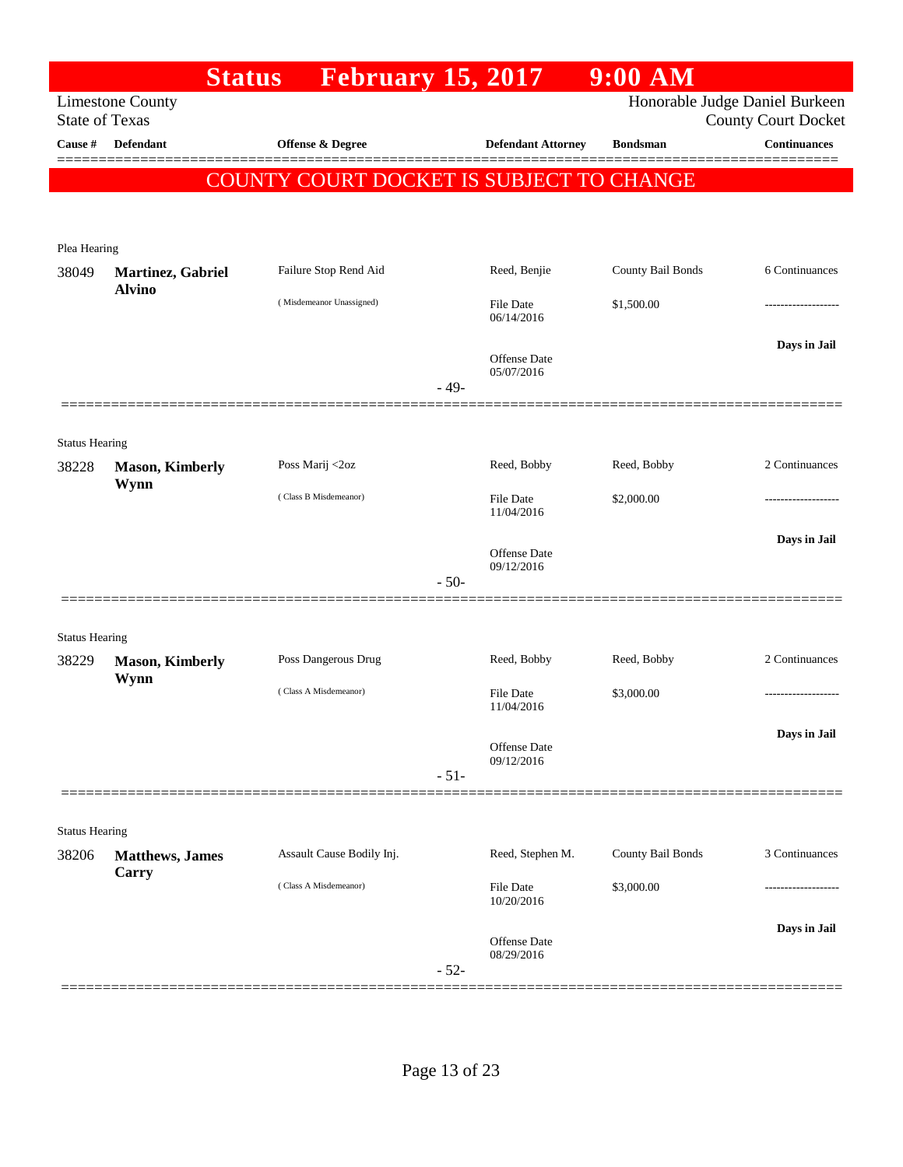| Honorable Judge Daniel Burkeen<br><b>Limestone County</b><br><b>State of Texas</b><br><b>County Court Docket</b><br><b>Defendant</b><br><b>Continuances</b><br>Cause #<br><b>Offense &amp; Degree</b><br><b>Defendant Attorney</b><br><b>Bondsman</b><br>COUNTY COURT DOCKET IS SUBJECT TO CHANGE<br>Plea Hearing<br>County Bail Bonds<br>Failure Stop Rend Aid<br>Reed, Benjie<br>6 Continuances<br>38049<br>Martinez, Gabriel<br><b>Alvino</b><br>(Misdemeanor Unassigned)<br>File Date<br>\$1,500.00<br>06/14/2016<br>Days in Jail<br>Offense Date<br>05/07/2016<br>$-49-$<br><b>Status Hearing</b><br>2 Continuances<br>Poss Marij <2oz<br>Reed, Bobby<br>Reed, Bobby<br>38228<br><b>Mason, Kimberly</b><br>Wynn<br>(Class B Misdemeanor)<br>File Date<br>\$2,000.00<br>11/04/2016<br>Days in Jail<br><b>Offense</b> Date<br>09/12/2016<br>$-50-$<br><b>Status Hearing</b><br>Poss Dangerous Drug<br>Reed, Bobby<br>Reed, Bobby<br>2 Continuances<br>38229<br><b>Mason, Kimberly</b><br>Wynn<br>(Class A Misdemeanor)<br>File Date<br>\$3,000.00<br>11/04/2016<br>Days in Jail<br>Offense Date<br>09/12/2016<br>$-51-$<br><b>Status Hearing</b><br>County Bail Bonds<br>3 Continuances<br>Assault Cause Bodily Inj.<br>Reed, Stephen M.<br>38206<br><b>Matthews</b> , James<br>Carry<br>(Class A Misdemeanor)<br><b>File Date</b><br>\$3,000.00<br>10/20/2016<br>Days in Jail<br>Offense Date<br>08/29/2016<br>$-52-$ |  | <b>Status</b> | <b>February 15, 2017</b> |  | $9:00$ AM |  |
|---------------------------------------------------------------------------------------------------------------------------------------------------------------------------------------------------------------------------------------------------------------------------------------------------------------------------------------------------------------------------------------------------------------------------------------------------------------------------------------------------------------------------------------------------------------------------------------------------------------------------------------------------------------------------------------------------------------------------------------------------------------------------------------------------------------------------------------------------------------------------------------------------------------------------------------------------------------------------------------------------------------------------------------------------------------------------------------------------------------------------------------------------------------------------------------------------------------------------------------------------------------------------------------------------------------------------------------------------------------------------------------------------------------------------|--|---------------|--------------------------|--|-----------|--|
|                                                                                                                                                                                                                                                                                                                                                                                                                                                                                                                                                                                                                                                                                                                                                                                                                                                                                                                                                                                                                                                                                                                                                                                                                                                                                                                                                                                                                           |  |               |                          |  |           |  |
|                                                                                                                                                                                                                                                                                                                                                                                                                                                                                                                                                                                                                                                                                                                                                                                                                                                                                                                                                                                                                                                                                                                                                                                                                                                                                                                                                                                                                           |  |               |                          |  |           |  |
|                                                                                                                                                                                                                                                                                                                                                                                                                                                                                                                                                                                                                                                                                                                                                                                                                                                                                                                                                                                                                                                                                                                                                                                                                                                                                                                                                                                                                           |  |               |                          |  |           |  |
|                                                                                                                                                                                                                                                                                                                                                                                                                                                                                                                                                                                                                                                                                                                                                                                                                                                                                                                                                                                                                                                                                                                                                                                                                                                                                                                                                                                                                           |  |               |                          |  |           |  |
|                                                                                                                                                                                                                                                                                                                                                                                                                                                                                                                                                                                                                                                                                                                                                                                                                                                                                                                                                                                                                                                                                                                                                                                                                                                                                                                                                                                                                           |  |               |                          |  |           |  |
|                                                                                                                                                                                                                                                                                                                                                                                                                                                                                                                                                                                                                                                                                                                                                                                                                                                                                                                                                                                                                                                                                                                                                                                                                                                                                                                                                                                                                           |  |               |                          |  |           |  |
|                                                                                                                                                                                                                                                                                                                                                                                                                                                                                                                                                                                                                                                                                                                                                                                                                                                                                                                                                                                                                                                                                                                                                                                                                                                                                                                                                                                                                           |  |               |                          |  |           |  |
|                                                                                                                                                                                                                                                                                                                                                                                                                                                                                                                                                                                                                                                                                                                                                                                                                                                                                                                                                                                                                                                                                                                                                                                                                                                                                                                                                                                                                           |  |               |                          |  |           |  |
|                                                                                                                                                                                                                                                                                                                                                                                                                                                                                                                                                                                                                                                                                                                                                                                                                                                                                                                                                                                                                                                                                                                                                                                                                                                                                                                                                                                                                           |  |               |                          |  |           |  |
|                                                                                                                                                                                                                                                                                                                                                                                                                                                                                                                                                                                                                                                                                                                                                                                                                                                                                                                                                                                                                                                                                                                                                                                                                                                                                                                                                                                                                           |  |               |                          |  |           |  |
|                                                                                                                                                                                                                                                                                                                                                                                                                                                                                                                                                                                                                                                                                                                                                                                                                                                                                                                                                                                                                                                                                                                                                                                                                                                                                                                                                                                                                           |  |               |                          |  |           |  |
|                                                                                                                                                                                                                                                                                                                                                                                                                                                                                                                                                                                                                                                                                                                                                                                                                                                                                                                                                                                                                                                                                                                                                                                                                                                                                                                                                                                                                           |  |               |                          |  |           |  |
|                                                                                                                                                                                                                                                                                                                                                                                                                                                                                                                                                                                                                                                                                                                                                                                                                                                                                                                                                                                                                                                                                                                                                                                                                                                                                                                                                                                                                           |  |               |                          |  |           |  |
|                                                                                                                                                                                                                                                                                                                                                                                                                                                                                                                                                                                                                                                                                                                                                                                                                                                                                                                                                                                                                                                                                                                                                                                                                                                                                                                                                                                                                           |  |               |                          |  |           |  |
|                                                                                                                                                                                                                                                                                                                                                                                                                                                                                                                                                                                                                                                                                                                                                                                                                                                                                                                                                                                                                                                                                                                                                                                                                                                                                                                                                                                                                           |  |               |                          |  |           |  |
|                                                                                                                                                                                                                                                                                                                                                                                                                                                                                                                                                                                                                                                                                                                                                                                                                                                                                                                                                                                                                                                                                                                                                                                                                                                                                                                                                                                                                           |  |               |                          |  |           |  |
|                                                                                                                                                                                                                                                                                                                                                                                                                                                                                                                                                                                                                                                                                                                                                                                                                                                                                                                                                                                                                                                                                                                                                                                                                                                                                                                                                                                                                           |  |               |                          |  |           |  |
|                                                                                                                                                                                                                                                                                                                                                                                                                                                                                                                                                                                                                                                                                                                                                                                                                                                                                                                                                                                                                                                                                                                                                                                                                                                                                                                                                                                                                           |  |               |                          |  |           |  |
|                                                                                                                                                                                                                                                                                                                                                                                                                                                                                                                                                                                                                                                                                                                                                                                                                                                                                                                                                                                                                                                                                                                                                                                                                                                                                                                                                                                                                           |  |               |                          |  |           |  |
|                                                                                                                                                                                                                                                                                                                                                                                                                                                                                                                                                                                                                                                                                                                                                                                                                                                                                                                                                                                                                                                                                                                                                                                                                                                                                                                                                                                                                           |  |               |                          |  |           |  |
|                                                                                                                                                                                                                                                                                                                                                                                                                                                                                                                                                                                                                                                                                                                                                                                                                                                                                                                                                                                                                                                                                                                                                                                                                                                                                                                                                                                                                           |  |               |                          |  |           |  |
|                                                                                                                                                                                                                                                                                                                                                                                                                                                                                                                                                                                                                                                                                                                                                                                                                                                                                                                                                                                                                                                                                                                                                                                                                                                                                                                                                                                                                           |  |               |                          |  |           |  |
|                                                                                                                                                                                                                                                                                                                                                                                                                                                                                                                                                                                                                                                                                                                                                                                                                                                                                                                                                                                                                                                                                                                                                                                                                                                                                                                                                                                                                           |  |               |                          |  |           |  |
|                                                                                                                                                                                                                                                                                                                                                                                                                                                                                                                                                                                                                                                                                                                                                                                                                                                                                                                                                                                                                                                                                                                                                                                                                                                                                                                                                                                                                           |  |               |                          |  |           |  |
|                                                                                                                                                                                                                                                                                                                                                                                                                                                                                                                                                                                                                                                                                                                                                                                                                                                                                                                                                                                                                                                                                                                                                                                                                                                                                                                                                                                                                           |  |               |                          |  |           |  |
|                                                                                                                                                                                                                                                                                                                                                                                                                                                                                                                                                                                                                                                                                                                                                                                                                                                                                                                                                                                                                                                                                                                                                                                                                                                                                                                                                                                                                           |  |               |                          |  |           |  |
|                                                                                                                                                                                                                                                                                                                                                                                                                                                                                                                                                                                                                                                                                                                                                                                                                                                                                                                                                                                                                                                                                                                                                                                                                                                                                                                                                                                                                           |  |               |                          |  |           |  |
|                                                                                                                                                                                                                                                                                                                                                                                                                                                                                                                                                                                                                                                                                                                                                                                                                                                                                                                                                                                                                                                                                                                                                                                                                                                                                                                                                                                                                           |  |               |                          |  |           |  |
|                                                                                                                                                                                                                                                                                                                                                                                                                                                                                                                                                                                                                                                                                                                                                                                                                                                                                                                                                                                                                                                                                                                                                                                                                                                                                                                                                                                                                           |  |               |                          |  |           |  |
|                                                                                                                                                                                                                                                                                                                                                                                                                                                                                                                                                                                                                                                                                                                                                                                                                                                                                                                                                                                                                                                                                                                                                                                                                                                                                                                                                                                                                           |  |               |                          |  |           |  |
|                                                                                                                                                                                                                                                                                                                                                                                                                                                                                                                                                                                                                                                                                                                                                                                                                                                                                                                                                                                                                                                                                                                                                                                                                                                                                                                                                                                                                           |  |               |                          |  |           |  |
|                                                                                                                                                                                                                                                                                                                                                                                                                                                                                                                                                                                                                                                                                                                                                                                                                                                                                                                                                                                                                                                                                                                                                                                                                                                                                                                                                                                                                           |  |               |                          |  |           |  |
|                                                                                                                                                                                                                                                                                                                                                                                                                                                                                                                                                                                                                                                                                                                                                                                                                                                                                                                                                                                                                                                                                                                                                                                                                                                                                                                                                                                                                           |  |               |                          |  |           |  |
|                                                                                                                                                                                                                                                                                                                                                                                                                                                                                                                                                                                                                                                                                                                                                                                                                                                                                                                                                                                                                                                                                                                                                                                                                                                                                                                                                                                                                           |  |               |                          |  |           |  |
|                                                                                                                                                                                                                                                                                                                                                                                                                                                                                                                                                                                                                                                                                                                                                                                                                                                                                                                                                                                                                                                                                                                                                                                                                                                                                                                                                                                                                           |  |               |                          |  |           |  |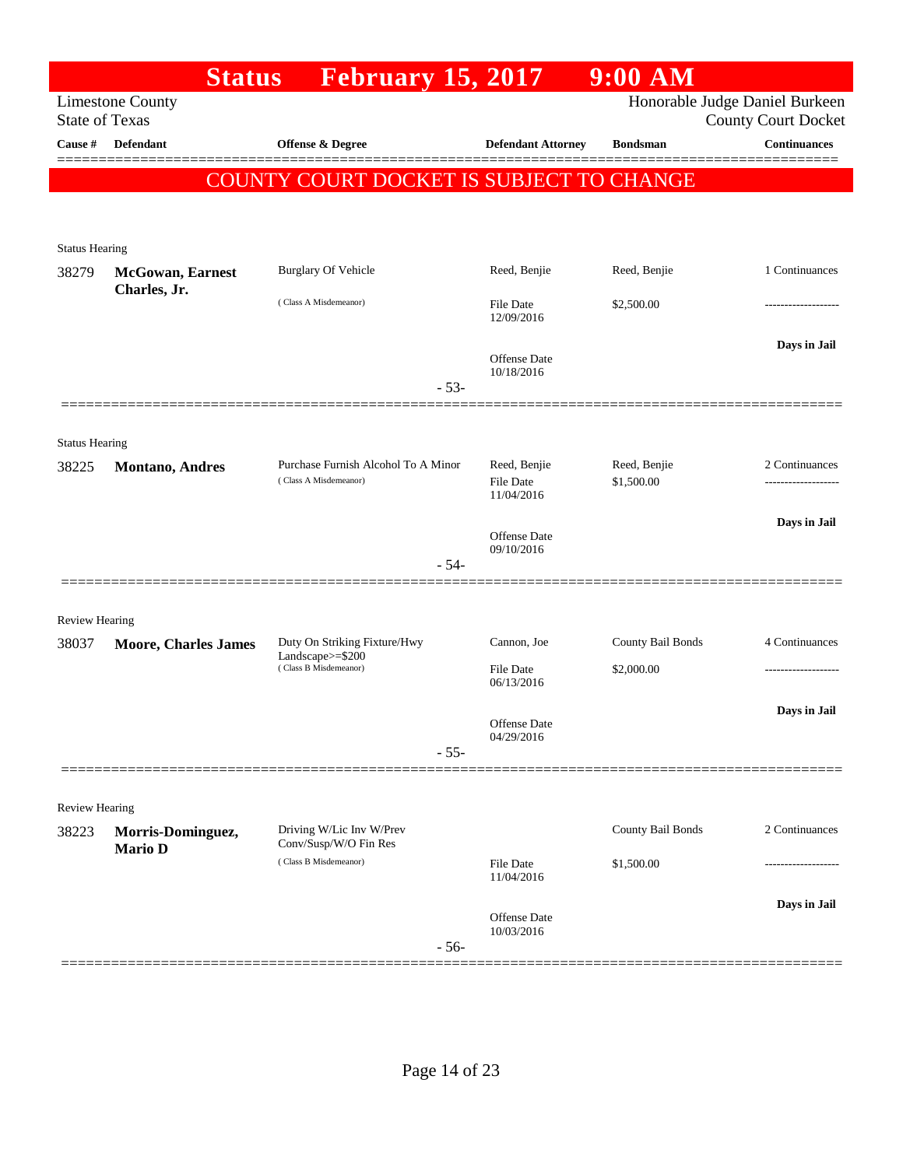|                       | <b>Status</b>                       | <b>February 15, 2017</b>                                     |        |                                                | $9:00$ AM                  |                                                              |
|-----------------------|-------------------------------------|--------------------------------------------------------------|--------|------------------------------------------------|----------------------------|--------------------------------------------------------------|
| <b>State of Texas</b> | <b>Limestone County</b>             |                                                              |        |                                                |                            | Honorable Judge Daniel Burkeen<br><b>County Court Docket</b> |
| Cause #               | Defendant                           | <b>Offense &amp; Degree</b>                                  |        | <b>Defendant Attorney</b>                      | <b>Bondsman</b>            | <b>Continuances</b>                                          |
|                       |                                     | COUNTY COURT DOCKET IS SUBJECT TO CHANGE                     |        |                                                |                            |                                                              |
|                       |                                     |                                                              |        |                                                |                            |                                                              |
| <b>Status Hearing</b> |                                     |                                                              |        |                                                |                            |                                                              |
| 38279                 | <b>McGowan</b> , Earnest            | <b>Burglary Of Vehicle</b>                                   |        | Reed, Benjie                                   | Reed, Benjie               | 1 Continuances                                               |
|                       | Charles, Jr.                        | (Class A Misdemeanor)                                        |        | <b>File Date</b><br>12/09/2016                 | \$2,500.00                 |                                                              |
|                       |                                     |                                                              | $-53-$ | <b>Offense</b> Date<br>10/18/2016              |                            | Days in Jail                                                 |
|                       |                                     |                                                              |        |                                                |                            |                                                              |
| <b>Status Hearing</b> |                                     |                                                              |        |                                                |                            |                                                              |
| 38225                 | <b>Montano</b> , Andres             | Purchase Furnish Alcohol To A Minor<br>(Class A Misdemeanor) |        | Reed, Benjie<br><b>File Date</b><br>11/04/2016 | Reed, Benjie<br>\$1,500.00 | 2 Continuances<br>-----------------                          |
|                       |                                     |                                                              |        | <b>Offense</b> Date<br>09/10/2016              |                            | Days in Jail                                                 |
|                       |                                     |                                                              | $-54-$ |                                                |                            |                                                              |
| <b>Review Hearing</b> |                                     |                                                              |        |                                                |                            |                                                              |
| 38037                 | <b>Moore, Charles James</b>         | Duty On Striking Fixture/Hwy<br>Landscape>=\$200             |        | Cannon, Joe                                    | County Bail Bonds          | 4 Continuances                                               |
|                       |                                     | (Class B Misdemeanor)                                        |        | <b>File Date</b><br>06/13/2016                 | \$2,000.00                 |                                                              |
|                       |                                     |                                                              |        | Offense Date                                   |                            | Days in Jail                                                 |
|                       |                                     |                                                              | $-55-$ | 04/29/2016                                     |                            |                                                              |
|                       |                                     |                                                              |        |                                                |                            |                                                              |
| Review Hearing        |                                     |                                                              |        |                                                |                            |                                                              |
| 38223                 | Morris-Dominguez,<br><b>Mario D</b> | Driving W/Lic Inv W/Prev<br>Conv/Susp/W/O Fin Res            |        |                                                | County Bail Bonds          | 2 Continuances                                               |
|                       |                                     | (Class B Misdemeanor)                                        |        | File Date<br>11/04/2016                        | \$1,500.00                 |                                                              |
|                       |                                     |                                                              | $-56-$ | Offense Date<br>10/03/2016                     |                            | Days in Jail                                                 |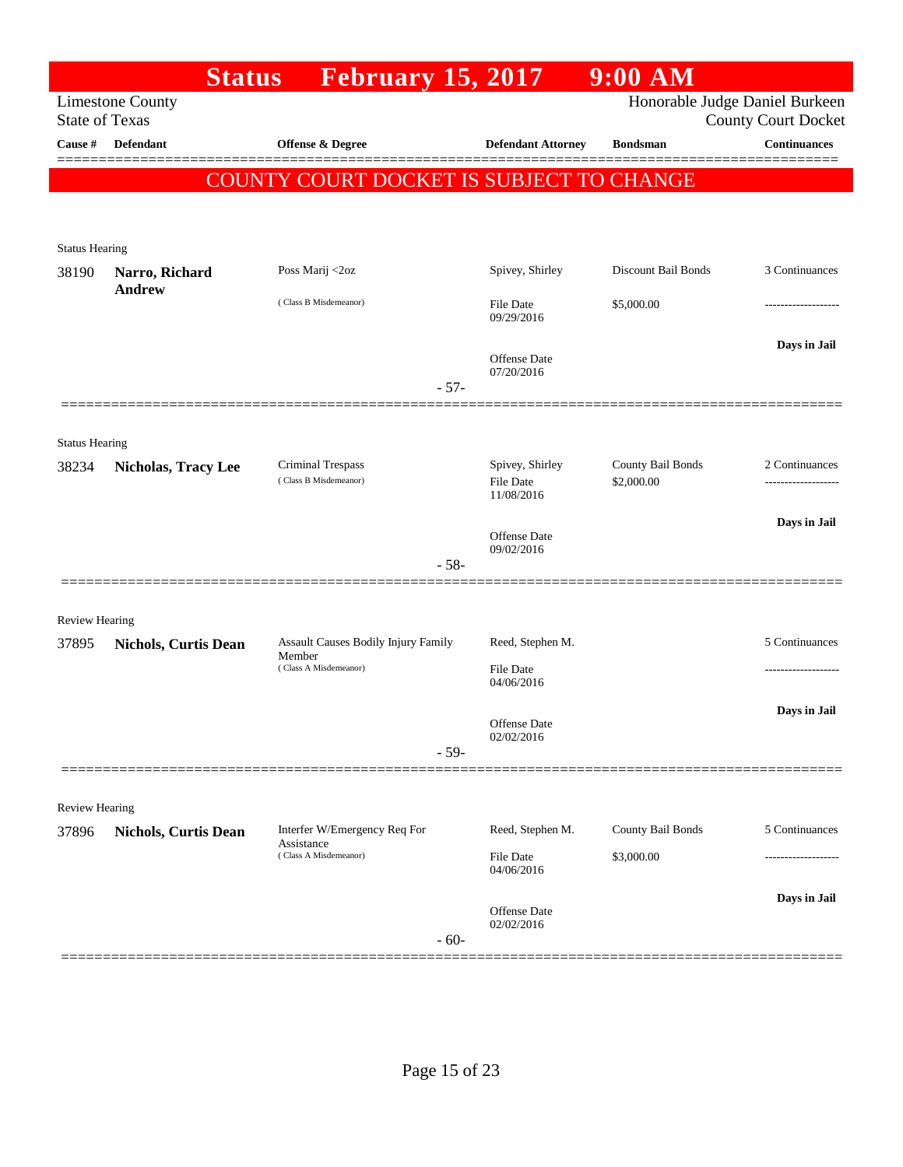|                                |                                 | <b>February 15, 2017</b><br><b>Status</b>     |        |                                     | $9:00$ AM                       |                                                              |
|--------------------------------|---------------------------------|-----------------------------------------------|--------|-------------------------------------|---------------------------------|--------------------------------------------------------------|
| <b>State of Texas</b>          | <b>Limestone County</b>         |                                               |        |                                     |                                 | Honorable Judge Daniel Burkeen<br><b>County Court Docket</b> |
| Cause #                        | <b>Defendant</b>                | <b>Offense &amp; Degree</b>                   |        | <b>Defendant Attorney</b>           | <b>Bondsman</b>                 | <b>Continuances</b>                                          |
|                                |                                 | COUNTY COURT DOCKET IS SUBJECT TO CHANGE      |        |                                     |                                 |                                                              |
|                                |                                 |                                               |        |                                     |                                 |                                                              |
| <b>Status Hearing</b>          |                                 |                                               |        |                                     |                                 |                                                              |
| 38190                          | Narro, Richard<br><b>Andrew</b> | Poss Marij <2oz                               |        | Spivey, Shirley                     | Discount Bail Bonds             | 3 Continuances                                               |
|                                |                                 | (Class B Misdemeanor)                         |        | <b>File Date</b><br>09/29/2016      | \$5,000.00                      | .                                                            |
|                                |                                 |                                               |        | <b>Offense Date</b><br>07/20/2016   |                                 | Days in Jail                                                 |
|                                |                                 |                                               | $-57-$ |                                     |                                 |                                                              |
|                                |                                 |                                               |        |                                     |                                 |                                                              |
| <b>Status Hearing</b><br>38234 | <b>Nicholas, Tracy Lee</b>      | Criminal Trespass<br>(Class B Misdemeanor)    |        | Spivey, Shirley<br><b>File Date</b> | County Bail Bonds<br>\$2,000.00 | 2 Continuances                                               |
|                                |                                 |                                               |        | 11/08/2016                          |                                 |                                                              |
|                                |                                 |                                               |        | <b>Offense Date</b><br>09/02/2016   |                                 | Days in Jail                                                 |
|                                |                                 |                                               | $-58-$ |                                     |                                 |                                                              |
| <b>Review Hearing</b>          |                                 |                                               |        |                                     |                                 |                                                              |
| 37895                          | <b>Nichols, Curtis Dean</b>     | Assault Causes Bodily Injury Family<br>Member |        | Reed, Stephen M.                    |                                 | 5 Continuances                                               |
|                                |                                 | (Class A Misdemeanor)                         |        | <b>File Date</b><br>04/06/2016      |                                 |                                                              |
|                                |                                 |                                               |        | Offense Date<br>02/02/2016          |                                 | Days in Jail                                                 |
|                                |                                 |                                               | $-59-$ |                                     |                                 |                                                              |
| <b>Review Hearing</b>          |                                 |                                               |        |                                     |                                 |                                                              |
| 37896                          | <b>Nichols, Curtis Dean</b>     | Interfer W/Emergency Req For                  |        | Reed, Stephen M.                    | County Bail Bonds               | 5 Continuances                                               |
|                                |                                 | Assistance<br>(Class A Misdemeanor)           |        | File Date<br>04/06/2016             | \$3,000.00                      | ----------------                                             |
|                                |                                 |                                               | $-60-$ | Offense Date<br>02/02/2016          |                                 | Days in Jail                                                 |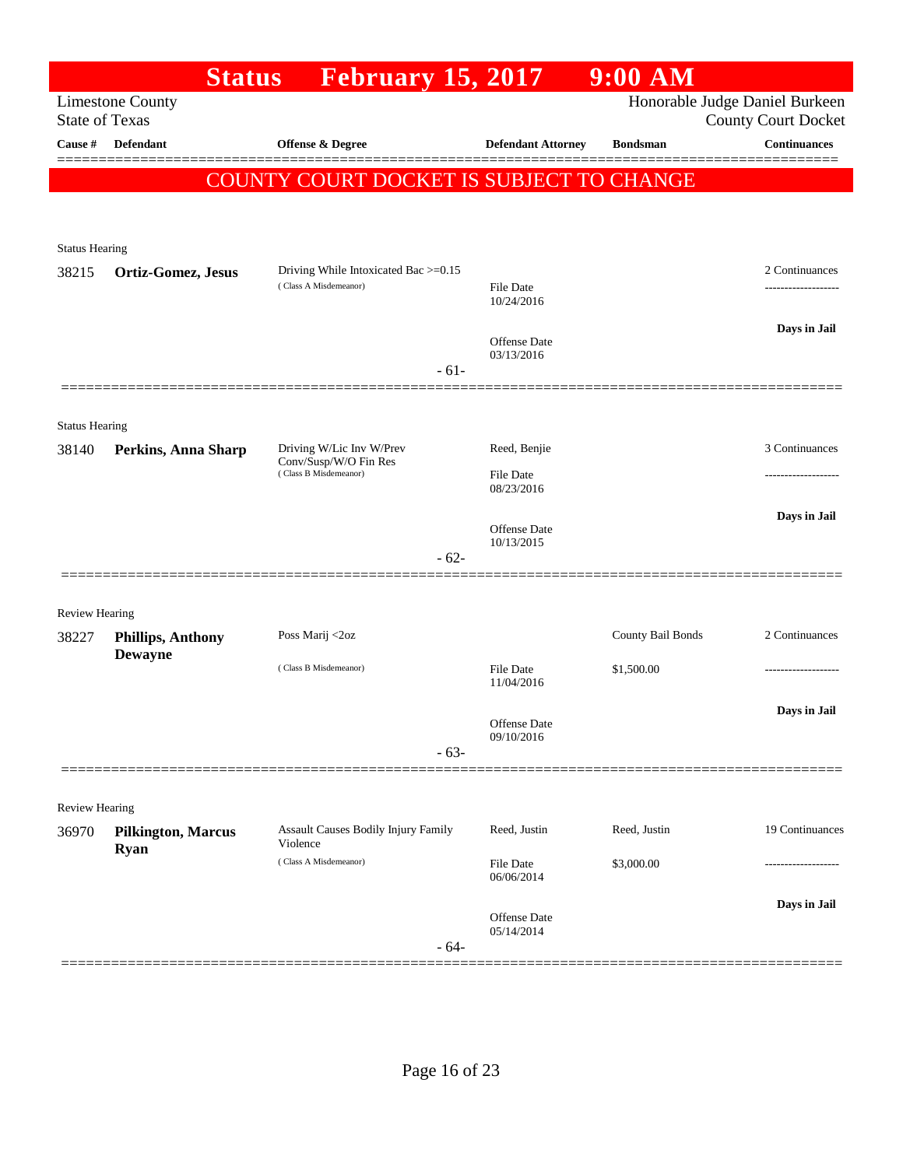|                                | <b>Status</b>                              | <b>February 15, 2017</b>                       |                                | 9:00 AM           |                                                              |
|--------------------------------|--------------------------------------------|------------------------------------------------|--------------------------------|-------------------|--------------------------------------------------------------|
| <b>State of Texas</b>          | <b>Limestone County</b>                    |                                                |                                |                   | Honorable Judge Daniel Burkeen<br><b>County Court Docket</b> |
| Cause #                        | <b>Defendant</b>                           | Offense & Degree                               | <b>Defendant Attorney</b>      | <b>Bondsman</b>   | <b>Continuances</b>                                          |
|                                |                                            | COUNTY COURT DOCKET IS SUBJECT TO CHANGE       |                                |                   |                                                              |
|                                |                                            |                                                |                                |                   |                                                              |
|                                |                                            |                                                |                                |                   |                                                              |
| <b>Status Hearing</b><br>38215 |                                            | Driving While Intoxicated Bac >=0.15           |                                |                   | 2 Continuances                                               |
|                                | Ortiz-Gomez, Jesus                         | (Class A Misdemeanor)                          | <b>File Date</b><br>10/24/2016 |                   |                                                              |
|                                |                                            |                                                | <b>Offense Date</b>            |                   | Days in Jail                                                 |
|                                |                                            | $-61-$                                         | 03/13/2016                     |                   |                                                              |
|                                |                                            |                                                |                                |                   |                                                              |
| <b>Status Hearing</b>          |                                            |                                                |                                |                   |                                                              |
| 38140                          | Perkins, Anna Sharp                        | Driving W/Lic Inv W/Prev                       | Reed, Benjie                   |                   | 3 Continuances                                               |
|                                |                                            | Conv/Susp/W/O Fin Res<br>(Class B Misdemeanor) | File Date<br>08/23/2016        |                   |                                                              |
|                                |                                            |                                                |                                |                   | Days in Jail                                                 |
|                                |                                            |                                                | Offense Date<br>10/13/2015     |                   |                                                              |
|                                |                                            | $-62-$                                         |                                |                   |                                                              |
|                                |                                            |                                                |                                |                   |                                                              |
| <b>Review Hearing</b>          |                                            |                                                |                                |                   |                                                              |
| 38227                          | <b>Phillips, Anthony</b><br><b>Dewayne</b> | Poss Marij <2oz                                |                                | County Bail Bonds | 2 Continuances                                               |
|                                |                                            | (Class B Misdemeanor)                          | <b>File Date</b><br>11/04/2016 | \$1,500.00        |                                                              |
|                                |                                            |                                                |                                |                   | Days in Jail                                                 |
|                                |                                            |                                                | Offense Date<br>09/10/2016     |                   |                                                              |
|                                |                                            | $-63-$                                         |                                |                   |                                                              |
|                                |                                            |                                                |                                |                   |                                                              |
| Review Hearing<br>36970        | <b>Pilkington, Marcus</b>                  | Assault Causes Bodily Injury Family            | Reed, Justin                   | Reed, Justin      | 19 Continuances                                              |
|                                | <b>Ryan</b>                                | Violence                                       |                                |                   |                                                              |
|                                |                                            | (Class A Misdemeanor)                          | File Date<br>06/06/2014        | \$3,000.00        |                                                              |
|                                |                                            |                                                | Offense Date                   |                   | Days in Jail                                                 |
|                                |                                            | $-64-$                                         | 05/14/2014                     |                   |                                                              |
|                                |                                            |                                                |                                |                   |                                                              |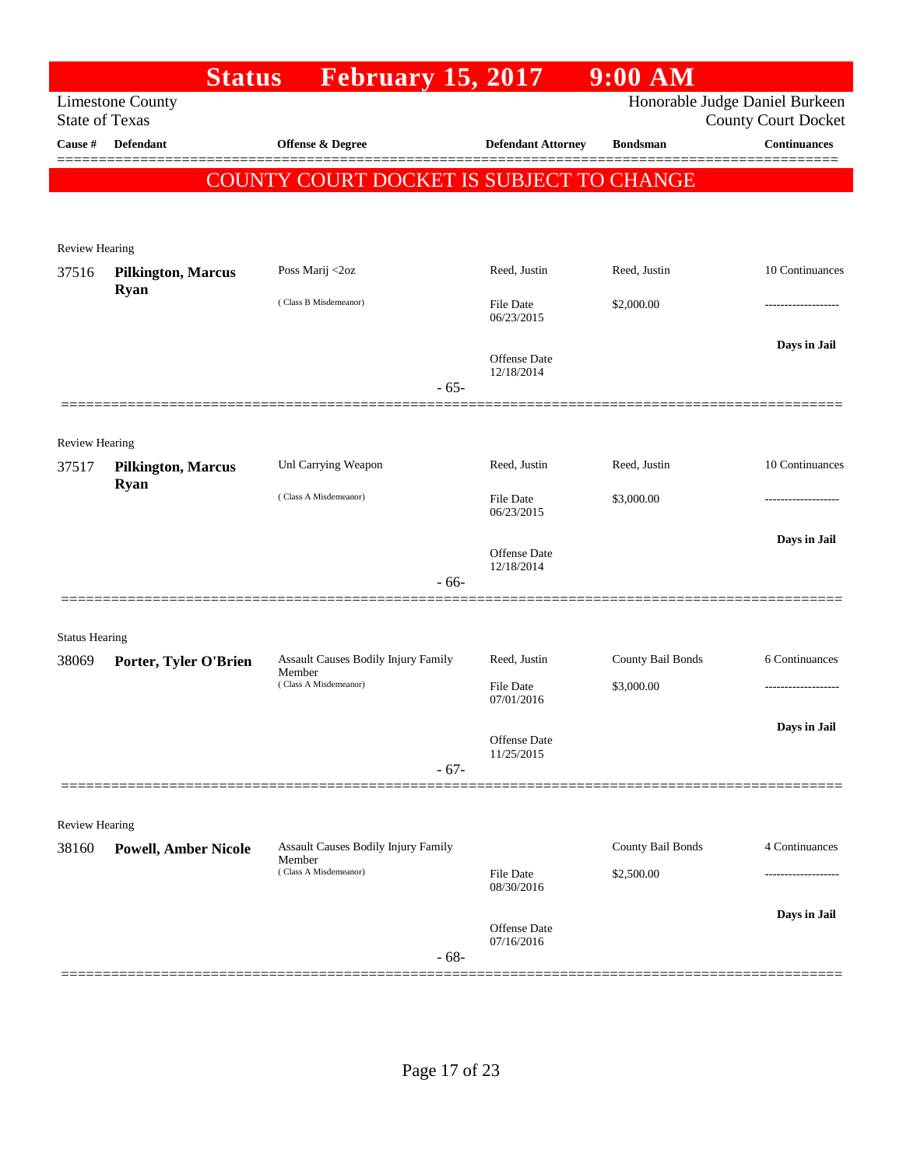|                                | <b>Status</b>               | <b>February 15, 2017</b>                      |                                | $9:00$ AM         |                                                              |
|--------------------------------|-----------------------------|-----------------------------------------------|--------------------------------|-------------------|--------------------------------------------------------------|
| <b>State of Texas</b>          | <b>Limestone County</b>     |                                               |                                |                   | Honorable Judge Daniel Burkeen<br><b>County Court Docket</b> |
| Cause #                        | <b>Defendant</b>            | Offense & Degree                              | <b>Defendant Attorney</b>      | <b>Bondsman</b>   | <b>Continuances</b>                                          |
|                                |                             | COUNTY COURT DOCKET IS SUBJECT TO CHANGE      |                                |                   |                                                              |
|                                |                             |                                               |                                |                   |                                                              |
|                                |                             |                                               |                                |                   |                                                              |
| Review Hearing<br>37516        | <b>Pilkington, Marcus</b>   | Poss Marij <2oz                               | Reed, Justin                   | Reed, Justin      | 10 Continuances                                              |
|                                | <b>Ryan</b>                 | (Class B Misdemeanor)                         | File Date                      | \$2,000.00        |                                                              |
|                                |                             |                                               | 06/23/2015                     |                   |                                                              |
|                                |                             |                                               | <b>Offense Date</b>            |                   | Days in Jail                                                 |
|                                |                             | $-65-$                                        | 12/18/2014                     |                   |                                                              |
|                                |                             |                                               |                                |                   |                                                              |
| Review Hearing                 |                             |                                               |                                |                   |                                                              |
| 37517                          | <b>Pilkington, Marcus</b>   | Unl Carrying Weapon                           | Reed, Justin                   | Reed, Justin      | 10 Continuances                                              |
|                                | <b>Ryan</b>                 | (Class A Misdemeanor)                         | <b>File Date</b>               | \$3,000.00        |                                                              |
|                                |                             |                                               | 06/23/2015                     |                   |                                                              |
|                                |                             |                                               | <b>Offense Date</b>            |                   | Days in Jail                                                 |
|                                |                             | $-66-$                                        | 12/18/2014                     |                   |                                                              |
|                                |                             |                                               |                                |                   |                                                              |
| <b>Status Hearing</b>          |                             |                                               |                                |                   |                                                              |
| 38069                          | Porter, Tyler O'Brien       | Assault Causes Bodily Injury Family<br>Member | Reed, Justin                   | County Bail Bonds | 6 Continuances                                               |
|                                |                             | (Class A Misdemeanor)                         | <b>File Date</b><br>07/01/2016 | \$3,000.00        |                                                              |
|                                |                             |                                               |                                |                   | Days in Jail                                                 |
|                                |                             |                                               | Offense Date<br>11/25/2015     |                   |                                                              |
|                                |                             | $-67-$                                        |                                |                   |                                                              |
|                                |                             |                                               |                                |                   |                                                              |
| <b>Review Hearing</b><br>38160 | <b>Powell, Amber Nicole</b> | Assault Causes Bodily Injury Family           |                                | County Bail Bonds | 4 Continuances                                               |
|                                |                             | Member<br>(Class A Misdemeanor)               | <b>File Date</b>               | \$2,500.00        | .                                                            |
|                                |                             |                                               | 08/30/2016                     |                   |                                                              |
|                                |                             |                                               | <b>Offense</b> Date            |                   | Days in Jail                                                 |
|                                |                             | $-68-$                                        | 07/16/2016                     |                   |                                                              |
|                                |                             |                                               |                                |                   |                                                              |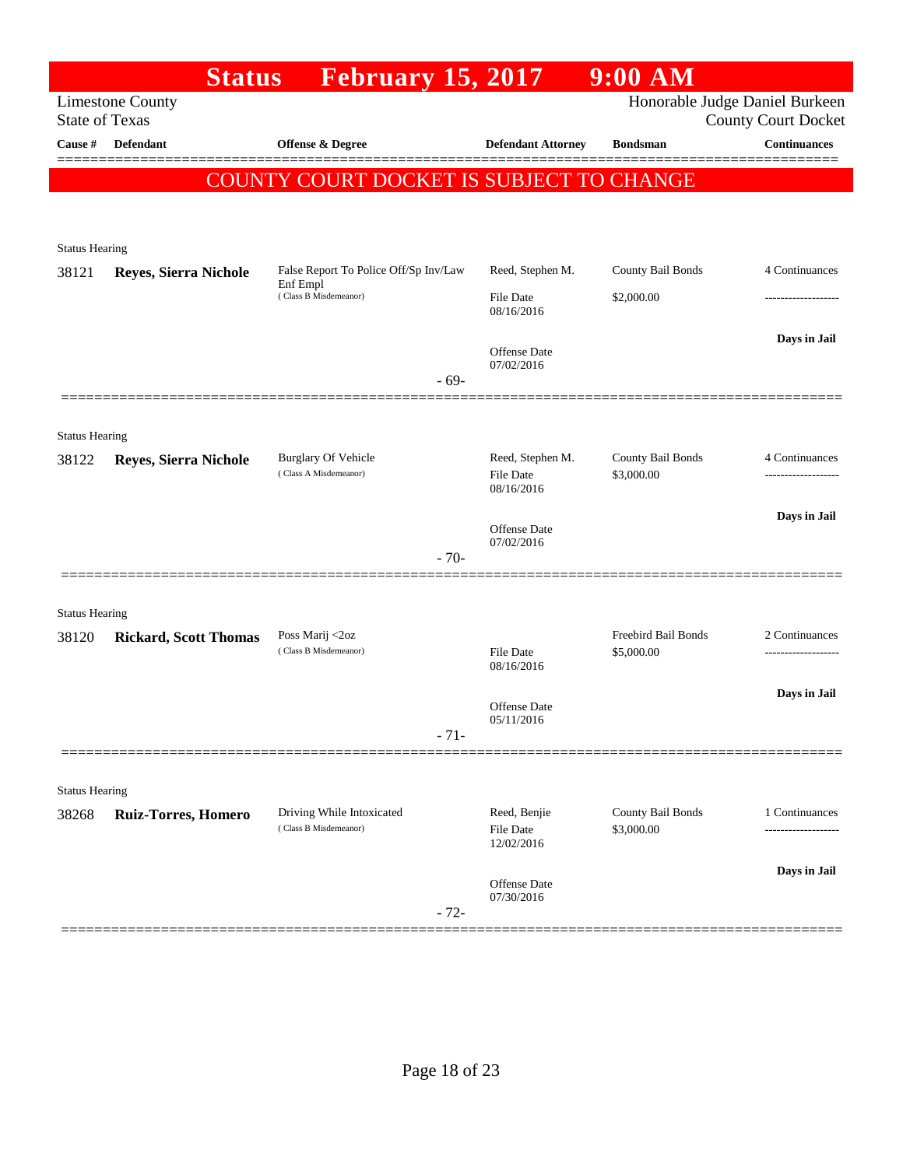|                                | <b>Status</b>                | <b>February 15, 2017</b>                          |                                | $9:00$ AM                                |                                                              |
|--------------------------------|------------------------------|---------------------------------------------------|--------------------------------|------------------------------------------|--------------------------------------------------------------|
| <b>State of Texas</b>          | <b>Limestone County</b>      |                                                   |                                |                                          | Honorable Judge Daniel Burkeen<br><b>County Court Docket</b> |
| Cause #                        | <b>Defendant</b>             | <b>Offense &amp; Degree</b>                       | <b>Defendant Attorney</b>      | <b>Bondsman</b>                          | <b>Continuances</b>                                          |
|                                |                              |                                                   |                                |                                          |                                                              |
|                                |                              | COUNTY COURT DOCKET IS SUBJECT TO CHANGE          |                                |                                          |                                                              |
|                                |                              |                                                   |                                |                                          |                                                              |
| <b>Status Hearing</b>          |                              |                                                   |                                |                                          |                                                              |
| 38121                          | Reyes, Sierra Nichole        | False Report To Police Off/Sp Inv/Law<br>Enf Empl | Reed, Stephen M.               | County Bail Bonds                        | 4 Continuances                                               |
|                                |                              | (Class B Misdemeanor)                             | <b>File Date</b><br>08/16/2016 | \$2,000.00                               | .                                                            |
|                                |                              |                                                   | <b>Offense</b> Date            |                                          | Days in Jail                                                 |
|                                |                              |                                                   | 07/02/2016                     |                                          |                                                              |
|                                |                              | $-69-$                                            |                                |                                          |                                                              |
|                                |                              |                                                   |                                |                                          |                                                              |
| <b>Status Hearing</b><br>38122 |                              | <b>Burglary Of Vehicle</b>                        | Reed, Stephen M.               | County Bail Bonds                        | 4 Continuances                                               |
|                                | <b>Reyes, Sierra Nichole</b> | (Class A Misdemeanor)                             | <b>File Date</b><br>08/16/2016 | \$3,000.00                               |                                                              |
|                                |                              |                                                   |                                |                                          | Days in Jail                                                 |
|                                |                              |                                                   | Offense Date<br>07/02/2016     |                                          |                                                              |
|                                |                              | $-70-$                                            |                                |                                          |                                                              |
|                                |                              |                                                   |                                |                                          |                                                              |
| <b>Status Hearing</b>          |                              |                                                   |                                |                                          |                                                              |
| 38120                          | <b>Rickard, Scott Thomas</b> | Poss Marij <2oz<br>(Class B Misdemeanor)          | <b>File Date</b>               | <b>Freebird Bail Bonds</b><br>\$5,000.00 | 2 Continuances                                               |
|                                |                              |                                                   | 08/16/2016                     |                                          |                                                              |
|                                |                              |                                                   | Offense Date                   |                                          | Days in Jail                                                 |
|                                |                              | $-71-$                                            | 05/11/2016                     |                                          |                                                              |
|                                |                              |                                                   |                                |                                          |                                                              |
| <b>Status Hearing</b>          |                              |                                                   |                                |                                          |                                                              |
| 38268                          | Ruiz-Torres, Homero          | Driving While Intoxicated                         | Reed, Benjie                   | County Bail Bonds                        | 1 Continuances                                               |
|                                |                              | (Class B Misdemeanor)                             | File Date<br>12/02/2016        | \$3,000.00                               | ---------------                                              |
|                                |                              |                                                   |                                |                                          | Days in Jail                                                 |
|                                |                              |                                                   | Offense Date<br>07/30/2016     |                                          |                                                              |
|                                |                              | $-72-$                                            |                                |                                          |                                                              |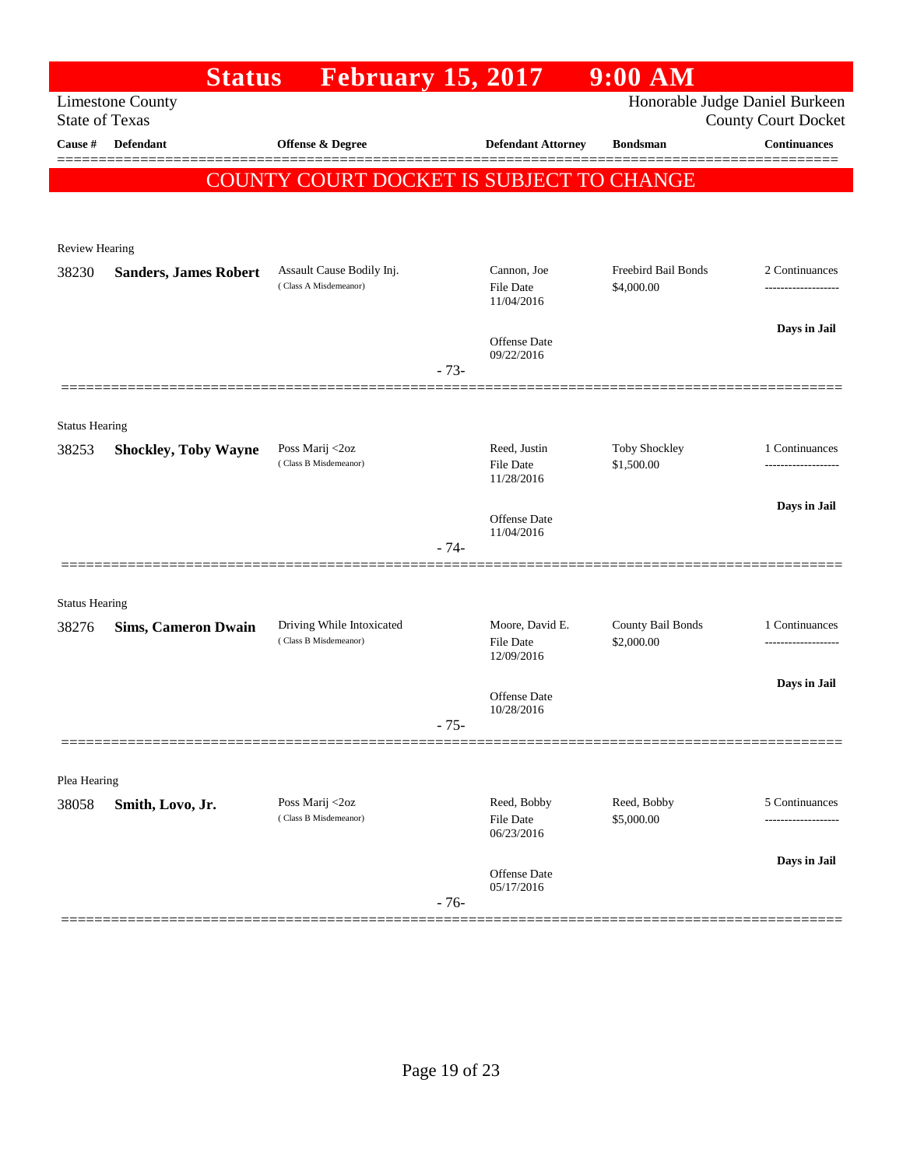|                       | <b>Status</b>                | <b>February 15, 2017</b>                           |        |                                | $9:00$ AM                       |                                                              |
|-----------------------|------------------------------|----------------------------------------------------|--------|--------------------------------|---------------------------------|--------------------------------------------------------------|
| <b>State of Texas</b> | <b>Limestone County</b>      |                                                    |        |                                |                                 | Honorable Judge Daniel Burkeen<br><b>County Court Docket</b> |
| Cause #               | <b>Defendant</b>             | <b>Offense &amp; Degree</b>                        |        | <b>Defendant Attorney</b>      | <b>Bondsman</b>                 | <b>Continuances</b>                                          |
|                       |                              | COUNTY COURT DOCKET IS SUBJECT TO CHANGE           |        |                                |                                 |                                                              |
|                       |                              |                                                    |        |                                |                                 |                                                              |
| Review Hearing        |                              |                                                    |        |                                |                                 |                                                              |
| 38230                 | <b>Sanders, James Robert</b> | Assault Cause Bodily Inj.                          |        | Cannon, Joe                    | Freebird Bail Bonds             | 2 Continuances                                               |
|                       |                              | (Class A Misdemeanor)                              |        | File Date<br>11/04/2016        | \$4,000.00                      |                                                              |
|                       |                              |                                                    |        |                                |                                 | Days in Jail                                                 |
|                       |                              |                                                    | $-73-$ | Offense Date<br>09/22/2016     |                                 |                                                              |
|                       |                              |                                                    |        |                                |                                 |                                                              |
| <b>Status Hearing</b> |                              |                                                    |        |                                |                                 |                                                              |
| 38253                 | <b>Shockley, Toby Wayne</b>  | Poss Marij <2oz                                    |        | Reed, Justin                   | Toby Shockley                   | 1 Continuances                                               |
|                       |                              | (Class B Misdemeanor)                              |        | <b>File Date</b><br>11/28/2016 | \$1,500.00                      |                                                              |
|                       |                              |                                                    |        | <b>Offense</b> Date            |                                 | Days in Jail                                                 |
|                       |                              |                                                    | $-74-$ | 11/04/2016                     |                                 |                                                              |
|                       |                              |                                                    |        |                                |                                 |                                                              |
| <b>Status Hearing</b> |                              |                                                    |        |                                |                                 |                                                              |
| 38276                 | <b>Sims, Cameron Dwain</b>   | Driving While Intoxicated<br>(Class B Misdemeanor) |        | Moore, David E.<br>File Date   | County Bail Bonds<br>\$2,000.00 | 1 Continuances                                               |
|                       |                              |                                                    |        | 12/09/2016                     |                                 |                                                              |
|                       |                              |                                                    |        | Offense Date                   |                                 | Days in Jail                                                 |
|                       |                              |                                                    | $-75-$ | 10/28/2016                     |                                 |                                                              |
|                       |                              |                                                    |        |                                |                                 |                                                              |
| Plea Hearing          |                              |                                                    |        |                                |                                 |                                                              |
| 38058                 | Smith, Lovo, Jr.             | Poss Marij <2oz<br>(Class B Misdemeanor)           |        | Reed, Bobby<br>File Date       | Reed, Bobby<br>\$5,000.00       | 5 Continuances<br>-----------                                |
|                       |                              |                                                    |        | 06/23/2016                     |                                 |                                                              |
|                       |                              |                                                    |        | Offense Date                   |                                 | Days in Jail                                                 |
|                       |                              |                                                    | $-76-$ | 05/17/2016                     |                                 |                                                              |
|                       |                              |                                                    |        |                                |                                 |                                                              |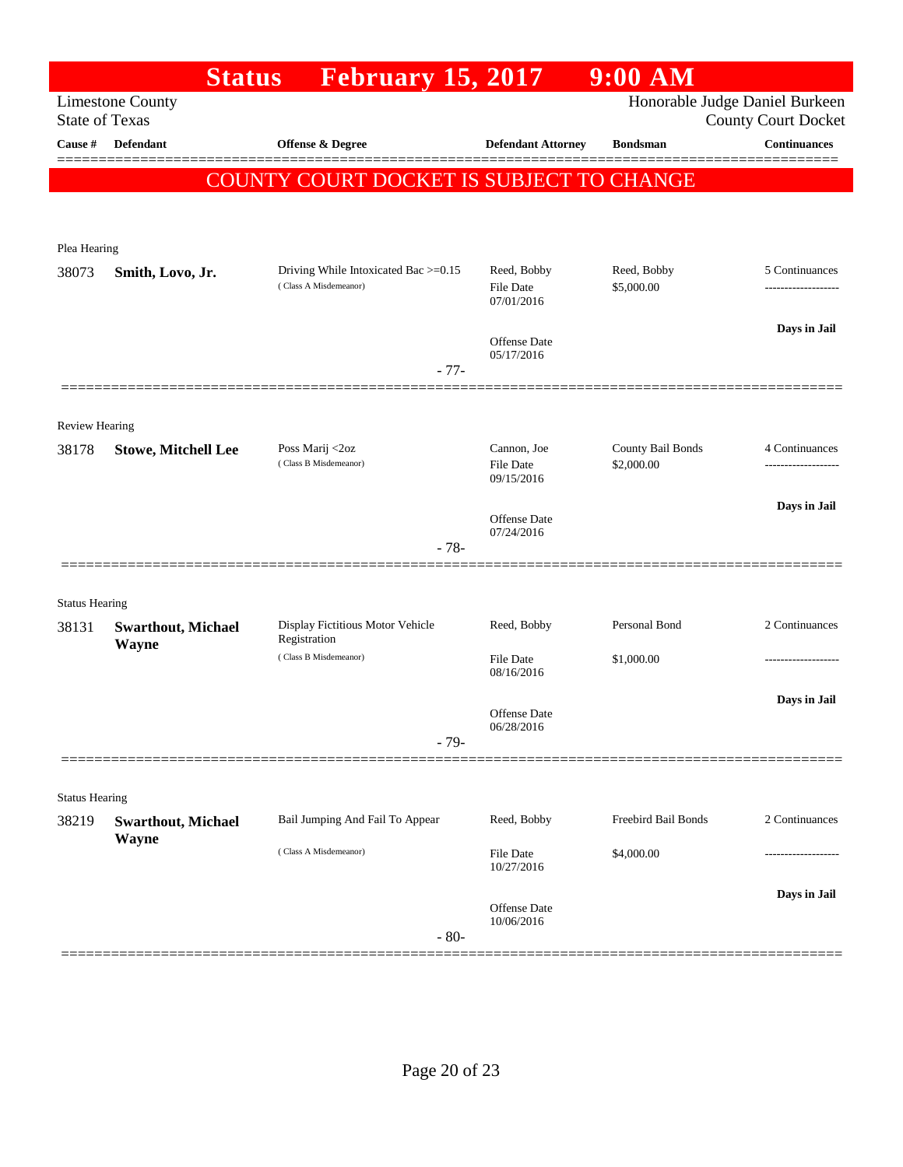|                       | <b>Status</b>                      | <b>February 15, 2017</b>                                      |                                   | $9:00$ AM                       |                                                              |
|-----------------------|------------------------------------|---------------------------------------------------------------|-----------------------------------|---------------------------------|--------------------------------------------------------------|
| <b>State of Texas</b> | <b>Limestone County</b>            |                                                               |                                   |                                 | Honorable Judge Daniel Burkeen<br><b>County Court Docket</b> |
| Cause #               | <b>Defendant</b>                   | <b>Offense &amp; Degree</b>                                   | <b>Defendant Attorney</b>         | <b>Bondsman</b>                 | <b>Continuances</b>                                          |
|                       |                                    | COUNTY COURT DOCKET IS SUBJECT TO CHANGE                      |                                   |                                 |                                                              |
|                       |                                    |                                                               |                                   |                                 |                                                              |
| Plea Hearing          |                                    |                                                               |                                   |                                 |                                                              |
| 38073                 | Smith, Lovo, Jr.                   | Driving While Intoxicated Bac >=0.15<br>(Class A Misdemeanor) | Reed, Bobby<br><b>File Date</b>   | Reed, Bobby<br>\$5,000.00       | 5 Continuances<br>-----------------                          |
|                       |                                    |                                                               | 07/01/2016                        |                                 |                                                              |
|                       |                                    | $-77-$                                                        | Offense Date<br>05/17/2016        |                                 | Days in Jail                                                 |
|                       |                                    |                                                               |                                   |                                 |                                                              |
| <b>Review Hearing</b> |                                    |                                                               |                                   |                                 |                                                              |
| 38178                 | <b>Stowe, Mitchell Lee</b>         | Poss Marij <2oz<br>(Class B Misdemeanor)                      | Cannon, Joe<br><b>File Date</b>   | County Bail Bonds<br>\$2,000.00 | 4 Continuances<br>------------------                         |
|                       |                                    |                                                               | 09/15/2016                        |                                 | Days in Jail                                                 |
|                       |                                    |                                                               | <b>Offense Date</b><br>07/24/2016 |                                 |                                                              |
|                       |                                    | $-78-$                                                        |                                   |                                 |                                                              |
| <b>Status Hearing</b> |                                    |                                                               |                                   |                                 |                                                              |
| 38131                 | <b>Swarthout, Michael</b><br>Wayne | Display Fictitious Motor Vehicle<br>Registration              | Reed, Bobby                       | Personal Bond                   | 2 Continuances                                               |
|                       |                                    | (Class B Misdemeanor)                                         | File Date<br>08/16/2016           | \$1,000.00                      |                                                              |
|                       |                                    |                                                               |                                   |                                 | Days in Jail                                                 |
|                       |                                    |                                                               | Offense Date<br>06/28/2016        |                                 |                                                              |
|                       |                                    | $-79-$                                                        |                                   |                                 |                                                              |
| <b>Status Hearing</b> |                                    |                                                               |                                   |                                 |                                                              |
| 38219                 | <b>Swarthout, Michael</b>          | Bail Jumping And Fail To Appear                               | Reed, Bobby                       | Freebird Bail Bonds             | 2 Continuances                                               |
|                       | Wayne                              | (Class A Misdemeanor)                                         | <b>File Date</b><br>10/27/2016    | \$4,000.00                      |                                                              |
|                       |                                    |                                                               | <b>Offense Date</b>               |                                 | Days in Jail                                                 |
|                       |                                    | $-80-$                                                        | 10/06/2016                        |                                 |                                                              |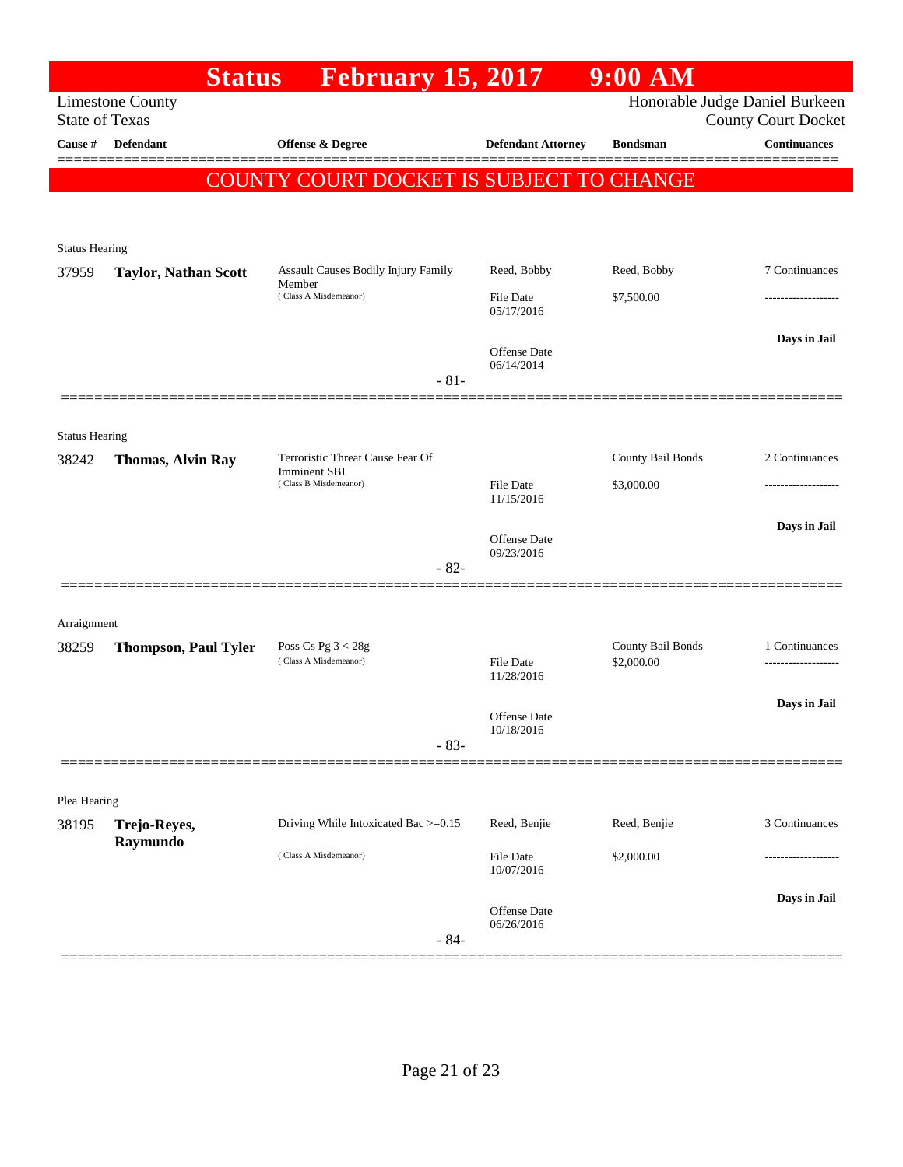|                       | <b>Status</b>               | <b>February 15, 2017</b>                                |                                   | $9:00$ AM                       |                                                              |
|-----------------------|-----------------------------|---------------------------------------------------------|-----------------------------------|---------------------------------|--------------------------------------------------------------|
| <b>State of Texas</b> | <b>Limestone County</b>     |                                                         |                                   |                                 | Honorable Judge Daniel Burkeen<br><b>County Court Docket</b> |
| Cause #               | Defendant                   | <b>Offense &amp; Degree</b>                             | <b>Defendant Attorney</b>         | <b>Bondsman</b>                 | <b>Continuances</b>                                          |
|                       |                             | COUNTY COURT DOCKET IS SUBJECT TO CHANGE                |                                   |                                 |                                                              |
| <b>Status Hearing</b> |                             |                                                         |                                   |                                 |                                                              |
| 37959                 | <b>Taylor, Nathan Scott</b> | Assault Causes Bodily Injury Family<br>Member           | Reed, Bobby                       | Reed, Bobby                     | 7 Continuances                                               |
|                       |                             | (Class A Misdemeanor)                                   | File Date<br>05/17/2016           | \$7,500.00                      |                                                              |
|                       |                             | $-81-$                                                  | Offense Date<br>06/14/2014        |                                 | Days in Jail                                                 |
| <b>Status Hearing</b> |                             |                                                         |                                   |                                 |                                                              |
| 38242                 | <b>Thomas, Alvin Ray</b>    | Terroristic Threat Cause Fear Of<br><b>Imminent SBI</b> |                                   | County Bail Bonds               | 2 Continuances                                               |
|                       |                             | (Class B Misdemeanor)                                   | File Date<br>11/15/2016           | \$3,000.00                      | .                                                            |
|                       |                             | $-82-$                                                  | <b>Offense</b> Date<br>09/23/2016 |                                 | Days in Jail                                                 |
| Arraignment           |                             |                                                         |                                   |                                 |                                                              |
| 38259                 | <b>Thompson, Paul Tyler</b> | Poss $Cs$ Pg $3 < 28g$<br>(Class A Misdemeanor)         | <b>File Date</b><br>11/28/2016    | County Bail Bonds<br>\$2,000.00 | 1 Continuances                                               |
|                       |                             | $-83-$                                                  | Offense Date<br>10/18/2016        |                                 | Days in Jail                                                 |
| Plea Hearing          |                             |                                                         |                                   |                                 |                                                              |
| 38195                 | Trejo-Reyes,                | Driving While Intoxicated Bac >=0.15                    | Reed, Benjie                      | Reed, Benjie                    | 3 Continuances                                               |
|                       | Raymundo                    | (Class A Misdemeanor)                                   | File Date<br>10/07/2016           | \$2,000.00                      |                                                              |
|                       |                             | $-84-$                                                  | Offense Date<br>06/26/2016        |                                 | Days in Jail                                                 |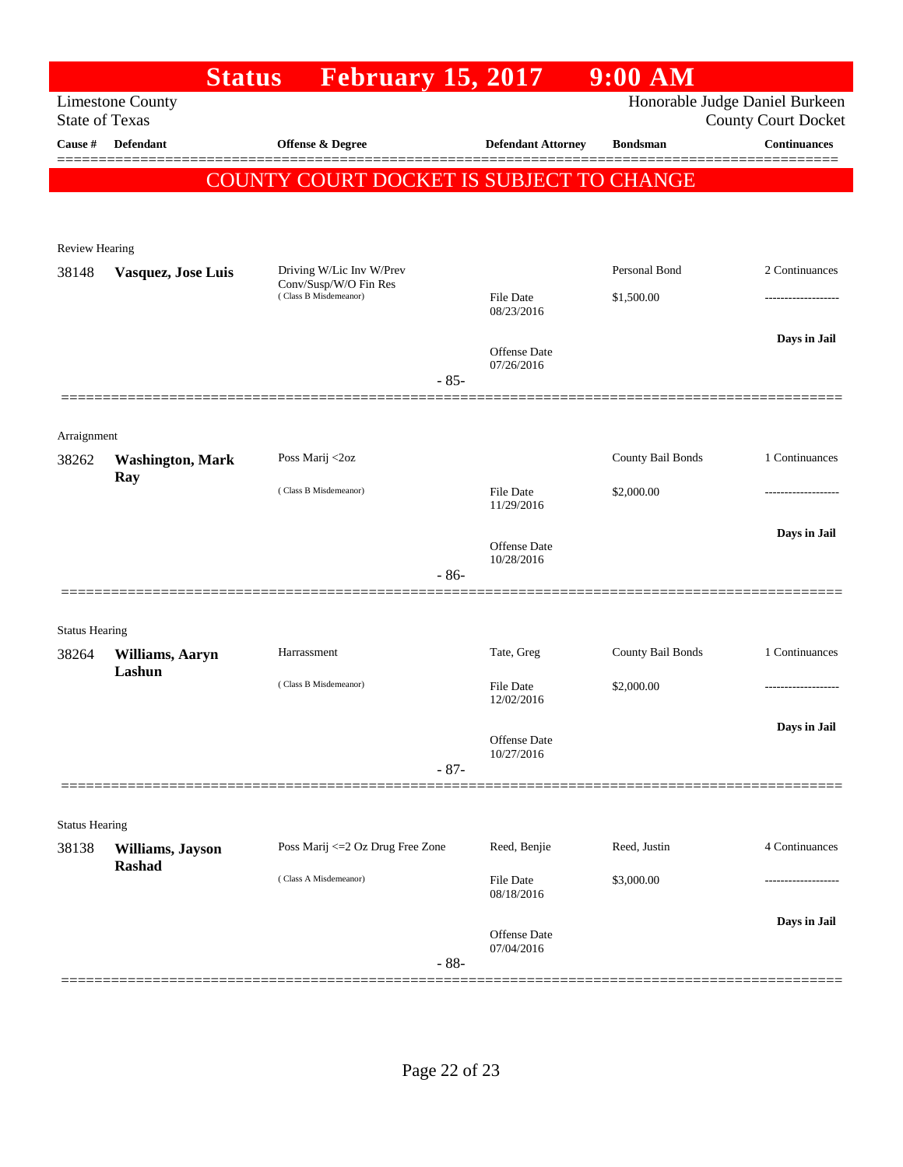|                       |                           | <b>February 15, 2017</b><br><b>Status</b>      |        |                                   | $9:00$ AM         |                                                              |
|-----------------------|---------------------------|------------------------------------------------|--------|-----------------------------------|-------------------|--------------------------------------------------------------|
| <b>State of Texas</b> | <b>Limestone County</b>   |                                                |        |                                   |                   | Honorable Judge Daniel Burkeen<br><b>County Court Docket</b> |
| Cause #               | <b>Defendant</b>          | <b>Offense &amp; Degree</b>                    |        | <b>Defendant Attorney</b>         | <b>Bondsman</b>   | <b>Continuances</b>                                          |
|                       |                           | COUNTY COURT DOCKET IS SUBJECT TO CHANGE       |        |                                   |                   |                                                              |
|                       |                           |                                                |        |                                   |                   |                                                              |
| Review Hearing        |                           |                                                |        |                                   |                   |                                                              |
| 38148                 | Vasquez, Jose Luis        | Driving W/Lic Inv W/Prev                       |        |                                   | Personal Bond     | 2 Continuances                                               |
|                       |                           | Conv/Susp/W/O Fin Res<br>(Class B Misdemeanor) |        | File Date<br>08/23/2016           | \$1,500.00        | .                                                            |
|                       |                           |                                                |        |                                   |                   | Days in Jail                                                 |
|                       |                           |                                                | $-85-$ | <b>Offense</b> Date<br>07/26/2016 |                   |                                                              |
|                       |                           |                                                |        |                                   |                   |                                                              |
| Arraignment           |                           |                                                |        |                                   |                   |                                                              |
| 38262                 | <b>Washington, Mark</b>   | Poss Marij <2oz                                |        |                                   | County Bail Bonds | 1 Continuances                                               |
|                       | Ray                       | (Class B Misdemeanor)                          |        | <b>File Date</b><br>11/29/2016    | \$2,000.00        |                                                              |
|                       |                           |                                                |        | <b>Offense</b> Date               |                   | Days in Jail                                                 |
|                       |                           |                                                | $-86-$ | 10/28/2016                        |                   |                                                              |
|                       |                           |                                                |        |                                   |                   |                                                              |
| <b>Status Hearing</b> |                           |                                                |        |                                   |                   |                                                              |
| 38264                 | Williams, Aaryn<br>Lashun | Harrassment                                    |        | Tate, Greg                        | County Bail Bonds | 1 Continuances                                               |
|                       |                           | (Class B Misdemeanor)                          |        | File Date<br>12/02/2016           | \$2,000.00        |                                                              |
|                       |                           |                                                |        | Offense Date                      |                   | Days in Jail                                                 |
|                       |                           |                                                | $-87-$ | 10/27/2016                        |                   |                                                              |
|                       |                           |                                                |        |                                   |                   |                                                              |
| <b>Status Hearing</b> |                           |                                                |        |                                   |                   |                                                              |
| 38138                 | Williams, Jayson          | Poss Marij <= 2 Oz Drug Free Zone              |        | Reed, Benjie                      | Reed, Justin      | 4 Continuances                                               |
|                       | <b>Rashad</b>             | (Class A Misdemeanor)                          |        | File Date<br>08/18/2016           | \$3,000.00        |                                                              |
|                       |                           |                                                |        |                                   |                   | Days in Jail                                                 |
|                       |                           |                                                | $-88-$ | <b>Offense Date</b><br>07/04/2016 |                   |                                                              |